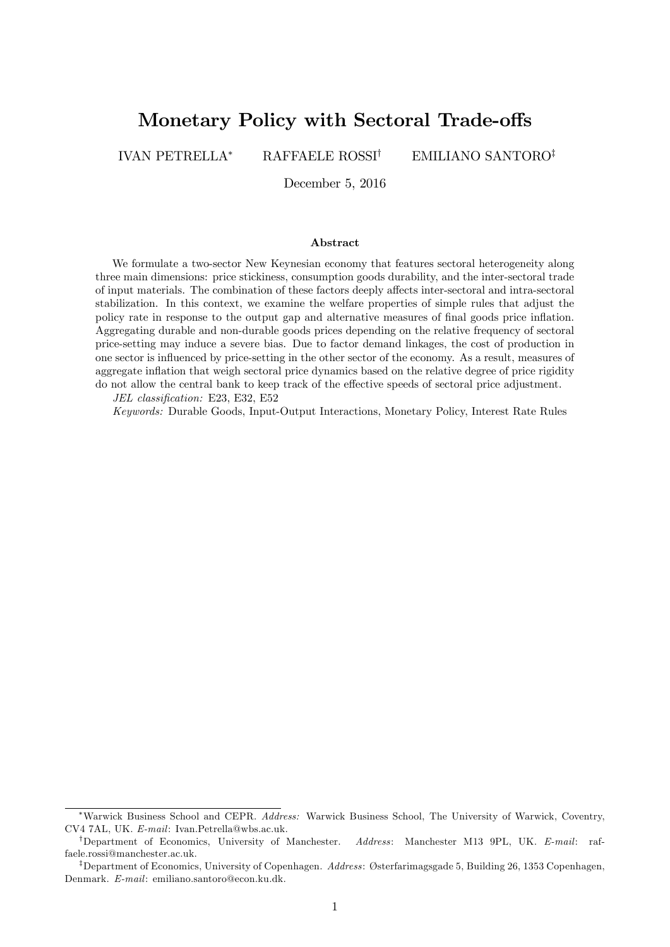# Monetary Policy with Sectoral Trade-offs

IVAN PETRELLA\* RAFFAELE ROSSI<sup>†</sup> EMILIANO SANTORO<sup>‡</sup>

December 5, 2016

#### Abstract

We formulate a two-sector New Keynesian economy that features sectoral heterogeneity along three main dimensions: price stickiness, consumption goods durability, and the inter-sectoral trade of input materials. The combination of these factors deeply affects inter-sectoral and intra-sectoral stabilization. In this context, we examine the welfare properties of simple rules that adjust the policy rate in response to the output gap and alternative measures of final goods price inflation. Aggregating durable and non-durable goods prices depending on the relative frequency of sectoral price-setting may induce a severe bias. Due to factor demand linkages, the cost of production in one sector is ináuenced by price-setting in the other sector of the economy. As a result, measures of aggregate inflation that weigh sectoral price dynamics based on the relative degree of price rigidity do not allow the central bank to keep track of the effective speeds of sectoral price adjustment.

JEL classification: E23, E32, E52

Keywords: Durable Goods, Input-Output Interactions, Monetary Policy, Interest Rate Rules

Warwick Business School and CEPR. Address: Warwick Business School, The University of Warwick, Coventry, CV4 7AL, UK. E-mail: Ivan.Petrella@wbs.ac.uk.

<sup>&</sup>lt;sup>†</sup>Department of Economics, University of Manchester. Address: Manchester M13 9PL, UK. E-mail: raffaele.rossi@manchester.ac.uk.

<sup>&</sup>lt;sup>‡</sup>Department of Economics, University of Copenhagen. Address: Østerfarimagsgade 5, Building 26, 1353 Copenhagen, Denmark. E-mail: emiliano.santoro@econ.ku.dk.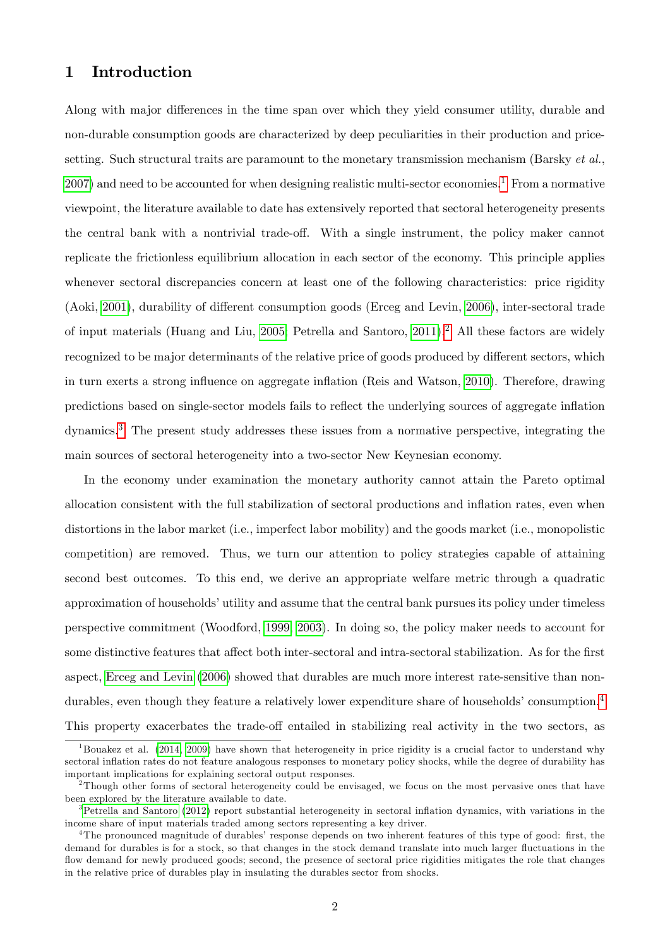## 1 Introduction

Along with major differences in the time span over which they yield consumer utility, durable and non-durable consumption goods are characterized by deep peculiarities in their production and pricesetting. Such structural traits are paramount to the monetary transmission mechanism (Barsky  $et al.,$  $2007$ ) and need to be accounted for when designing realistic multi-sector economies.<sup>[1](#page-1-0)</sup> From a normative viewpoint, the literature available to date has extensively reported that sectoral heterogeneity presents the central bank with a nontrivial trade-off. With a single instrument, the policy maker cannot replicate the frictionless equilibrium allocation in each sector of the economy. This principle applies whenever sectoral discrepancies concern at least one of the following characteristics: price rigidity (Aoki, [2001\)](#page-24-1), durability of different consumption goods (Erceg and Levin, [2006\)](#page-25-0), inter-sectoral trade of input materials (Huang and Liu, [2005;](#page-26-0) Petrella and Santoro, [2011\)](#page-27-0).<sup>[2](#page-1-1)</sup> All these factors are widely recognized to be major determinants of the relative price of goods produced by different sectors, which in turn exerts a strong influence on aggregate inflation (Reis and Watson, [2010\)](#page-27-1). Therefore, drawing predictions based on single-sector models fails to reflect the underlying sources of aggregate inflation dynamics.[3](#page-1-2) The present study addresses these issues from a normative perspective, integrating the main sources of sectoral heterogeneity into a two-sector New Keynesian economy.

In the economy under examination the monetary authority cannot attain the Pareto optimal allocation consistent with the full stabilization of sectoral productions and inflation rates, even when distortions in the labor market (i.e., imperfect labor mobility) and the goods market (i.e., monopolistic competition) are removed. Thus, we turn our attention to policy strategies capable of attaining second best outcomes. To this end, we derive an appropriate welfare metric through a quadratic approximation of households' utility and assume that the central bank pursues its policy under timeless perspective commitment (Woodford, [1999,](#page-28-0) [2003\)](#page-28-1). In doing so, the policy maker needs to account for some distinctive features that affect both inter-sectoral and intra-sectoral stabilization. As for the first aspect, [Erceg and Levin](#page-25-0) [\(2006\)](#page-25-0) showed that durables are much more interest rate-sensitive than nondurables, even though they feature a relatively lower expenditure share of households' consumption. $4$ This property exacerbates the trade-off entailed in stabilizing real activity in the two sectors, as

<span id="page-1-0"></span> $1$ Bouakez et al. [\(2014,](#page-25-1) [2009\)](#page-25-2) have shown that heterogeneity in price rigidity is a crucial factor to understand why sectoral inflation rates do not feature analogous responses to monetary policy shocks, while the degree of durability has important implications for explaining sectoral output responses.

<span id="page-1-1"></span><sup>&</sup>lt;sup>2</sup>Though other forms of sectoral heterogeneity could be envisaged, we focus on the most pervasive ones that have been explored by the literature available to date.

<span id="page-1-2"></span><sup>&</sup>lt;sup>3</sup>[Petrella and Santoro](#page-27-2) [\(2012\)](#page-27-2) report substantial heterogeneity in sectoral inflation dynamics, with variations in the income share of input materials traded among sectors representing a key driver.

<span id="page-1-3"></span><sup>&</sup>lt;sup>4</sup>The pronounced magnitude of durables' response depends on two inherent features of this type of good: first, the demand for durables is for a stock, so that changes in the stock demand translate into much larger fluctuations in the flow demand for newly produced goods; second, the presence of sectoral price rigidities mitigates the role that changes in the relative price of durables play in insulating the durables sector from shocks.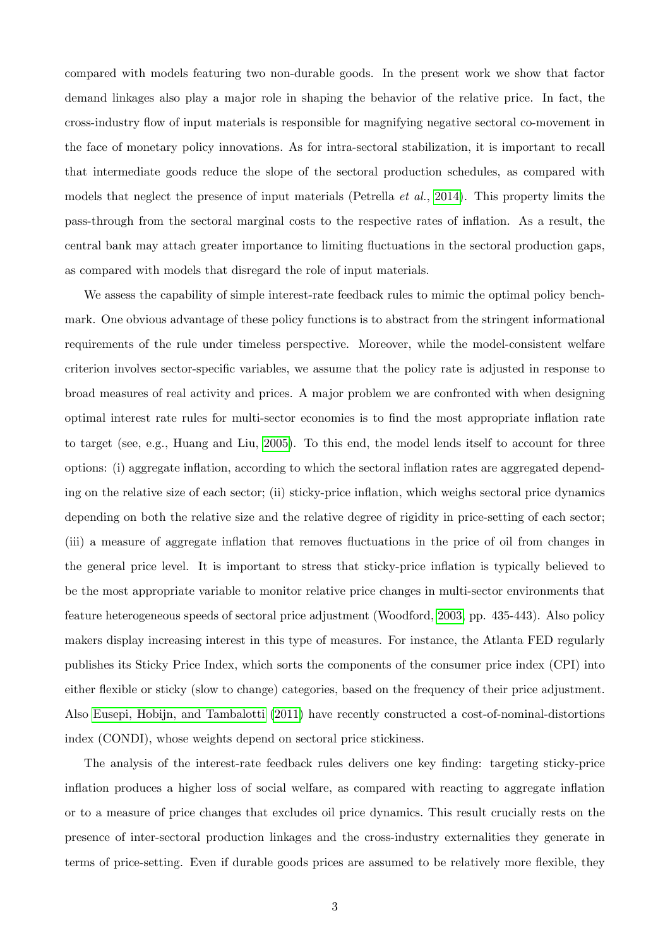compared with models featuring two non-durable goods. In the present work we show that factor demand linkages also play a major role in shaping the behavior of the relative price. In fact, the cross-industry áow of input materials is responsible for magnifying negative sectoral co-movement in the face of monetary policy innovations. As for intra-sectoral stabilization, it is important to recall that intermediate goods reduce the slope of the sectoral production schedules, as compared with models that neglect the presence of input materials (Petrella *et al.*, [2014\)](#page-27-3). This property limits the pass-through from the sectoral marginal costs to the respective rates of ináation. As a result, the central bank may attach greater importance to limiting fluctuations in the sectoral production gaps, as compared with models that disregard the role of input materials.

We assess the capability of simple interest-rate feedback rules to mimic the optimal policy benchmark. One obvious advantage of these policy functions is to abstract from the stringent informational requirements of the rule under timeless perspective. Moreover, while the model-consistent welfare criterion involves sector-specific variables, we assume that the policy rate is adjusted in response to broad measures of real activity and prices. A major problem we are confronted with when designing optimal interest rate rules for multi-sector economies is to find the most appropriate inflation rate to target (see, e.g., Huang and Liu, [2005\)](#page-26-0). To this end, the model lends itself to account for three options: (i) aggregate ináation, according to which the sectoral ináation rates are aggregated depending on the relative size of each sector; (ii) sticky-price ináation, which weighs sectoral price dynamics depending on both the relative size and the relative degree of rigidity in price-setting of each sector; (iii) a measure of aggregate inflation that removes fluctuations in the price of oil from changes in the general price level. It is important to stress that sticky-price inflation is typically believed to be the most appropriate variable to monitor relative price changes in multi-sector environments that feature heterogeneous speeds of sectoral price adjustment (Woodford, [2003,](#page-28-1) pp. 435-443). Also policy makers display increasing interest in this type of measures. For instance, the Atlanta FED regularly publishes its Sticky Price Index, which sorts the components of the consumer price index (CPI) into either flexible or sticky (slow to change) categories, based on the frequency of their price adjustment. Also [Eusepi, Hobijn, and Tambalotti](#page-26-1) [\(2011\)](#page-26-1) have recently constructed a cost-of-nominal-distortions index (CONDI), whose weights depend on sectoral price stickiness.

The analysis of the interest-rate feedback rules delivers one key finding: targeting sticky-price inflation produces a higher loss of social welfare, as compared with reacting to aggregate inflation or to a measure of price changes that excludes oil price dynamics. This result crucially rests on the presence of inter-sectoral production linkages and the cross-industry externalities they generate in terms of price-setting. Even if durable goods prices are assumed to be relatively more flexible, they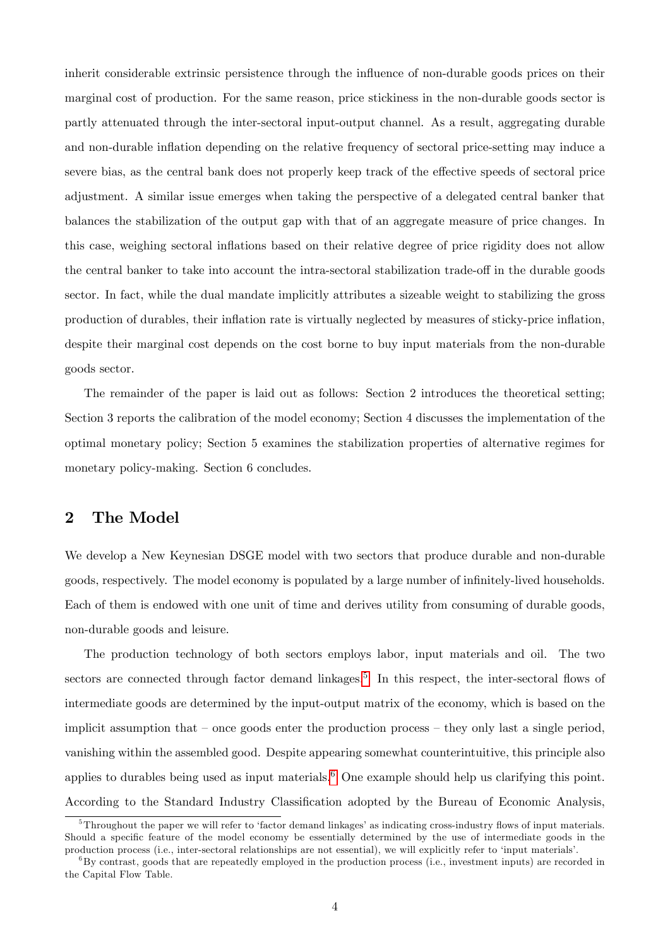inherit considerable extrinsic persistence through the ináuence of non-durable goods prices on their marginal cost of production. For the same reason, price stickiness in the non-durable goods sector is partly attenuated through the inter-sectoral input-output channel. As a result, aggregating durable and non-durable inflation depending on the relative frequency of sectoral price-setting may induce a severe bias, as the central bank does not properly keep track of the effective speeds of sectoral price adjustment. A similar issue emerges when taking the perspective of a delegated central banker that balances the stabilization of the output gap with that of an aggregate measure of price changes. In this case, weighing sectoral ináations based on their relative degree of price rigidity does not allow the central banker to take into account the intra-sectoral stabilization trade-off in the durable goods sector. In fact, while the dual mandate implicitly attributes a sizeable weight to stabilizing the gross production of durables, their ináation rate is virtually neglected by measures of sticky-price ináation, despite their marginal cost depends on the cost borne to buy input materials from the non-durable goods sector.

The remainder of the paper is laid out as follows: Section 2 introduces the theoretical setting; Section 3 reports the calibration of the model economy; Section 4 discusses the implementation of the optimal monetary policy; Section 5 examines the stabilization properties of alternative regimes for monetary policy-making. Section 6 concludes.

## 2 The Model

We develop a New Keynesian DSGE model with two sectors that produce durable and non-durable goods, respectively. The model economy is populated by a large number of infinitely-lived households. Each of them is endowed with one unit of time and derives utility from consuming of durable goods, non-durable goods and leisure.

The production technology of both sectors employs labor, input materials and oil. The two sectors are connected through factor demand linkages.<sup>[5](#page-3-0)</sup> In this respect, the inter-sectoral flows of intermediate goods are determined by the input-output matrix of the economy, which is based on the implicit assumption that  $\sim$  once goods enter the production process  $\sim$  they only last a single period, vanishing within the assembled good. Despite appearing somewhat counterintuitive, this principle also applies to durables being used as input materials.<sup>[6](#page-3-1)</sup> One example should help us clarifying this point. According to the Standard Industry Classification adopted by the Bureau of Economic Analysis,

<span id="page-3-0"></span> $5$ Throughout the paper we will refer to 'factor demand linkages' as indicating cross-industry flows of input materials. Should a specific feature of the model economy be essentially determined by the use of intermediate goods in the production process (i.e., inter-sectoral relationships are not essential), we will explicitly refer to 'input materials'.

<span id="page-3-1"></span><sup>6</sup>By contrast, goods that are repeatedly employed in the production process (i.e., investment inputs) are recorded in the Capital Flow Table.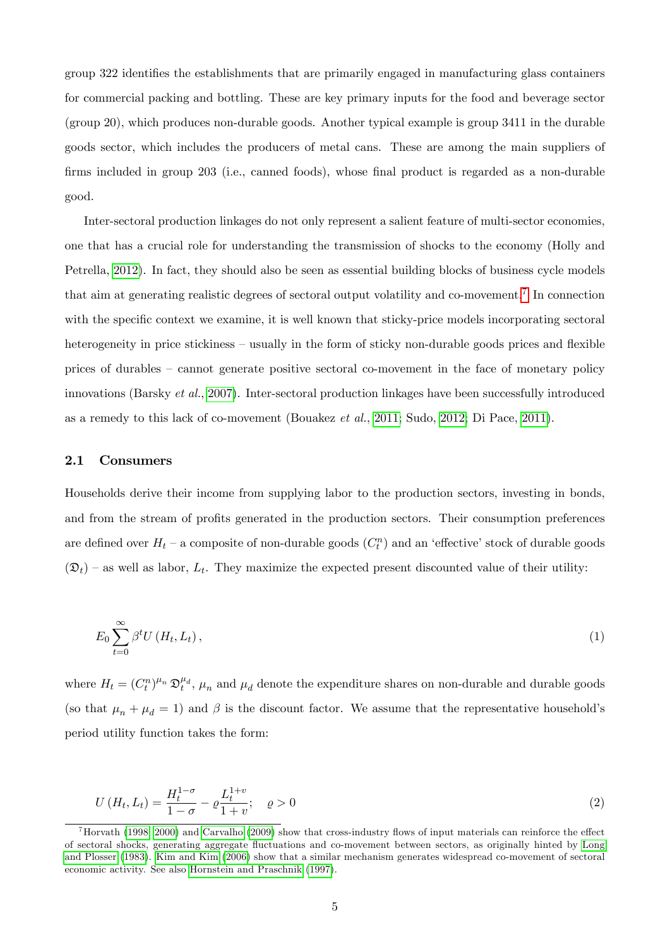group 322 identifies the establishments that are primarily engaged in manufacturing glass containers for commercial packing and bottling. These are key primary inputs for the food and beverage sector (group 20), which produces non-durable goods. Another typical example is group 3411 in the durable goods sector, which includes the producers of metal cans. These are among the main suppliers of firms included in group  $203$  (i.e., canned foods), whose final product is regarded as a non-durable good.

Inter-sectoral production linkages do not only represent a salient feature of multi-sector economies, one that has a crucial role for understanding the transmission of shocks to the economy (Holly and Petrella, [2012\)](#page-26-2). In fact, they should also be seen as essential building blocks of business cycle models that aim at generating realistic degrees of sectoral output volatility and co-movement.<sup>[7](#page-4-0)</sup> In connection with the specific context we examine, it is well known that sticky-price models incorporating sectoral heterogeneity in price stickiness – usually in the form of sticky non-durable goods prices and flexible prices of durables – cannot generate positive sectoral co-movement in the face of monetary policy innovations (Barsky et al., [2007\)](#page-24-0). Inter-sectoral production linkages have been successfully introduced as a remedy to this lack of co-movement (Bouakez et al., [2011;](#page-25-3) Sudo, [2012;](#page-27-4) Di Pace, [2011\)](#page-25-4).

### 2.1 Consumers

Households derive their income from supplying labor to the production sectors, investing in bonds, and from the stream of profits generated in the production sectors. Their consumption preferences are defined over  $H_t$  – a composite of non-durable goods  $(C_t^n)$  and an 'effective' stock of durable goods  $(\mathfrak{D}_t)$  – as well as labor,  $L_t$ . They maximize the expected present discounted value of their utility:

$$
E_0 \sum_{t=0}^{\infty} \beta^t U(H_t, L_t), \qquad (1)
$$

where  $H_t = (C_t^n)^{\mu_n} \mathfrak{D}_t^{\mu_d}$ ,  $\mu_n$  and  $\mu_d$  denote the expenditure shares on non-durable and durable goods (so that  $\mu_n + \mu_d = 1$ ) and  $\beta$  is the discount factor. We assume that the representative household's period utility function takes the form:

$$
U(H_t, L_t) = \frac{H_t^{1-\sigma}}{1-\sigma} - \varrho \frac{L_t^{1+v}}{1+v}; \quad \varrho > 0
$$
\n(2)

<span id="page-4-0"></span> $^7$ Horvath [\(1998,](#page-26-3) [2000\)](#page-26-4) and [Carvalho](#page-25-5) [\(2009\)](#page-25-5) show that cross-industry flows of input materials can reinforce the effect of sectoral shocks, generating aggregate áuctuations and co-movement between sectors, as originally hinted by [Long](#page-26-5) [and Plosser](#page-26-5) [\(1983\)](#page-26-5). [Kim and Kim](#page-26-6) [\(2006\)](#page-26-6) show that a similar mechanism generates widespread co-movement of sectoral economic activity. See also [Hornstein and Praschnik](#page-26-7) [\(1997\)](#page-26-7).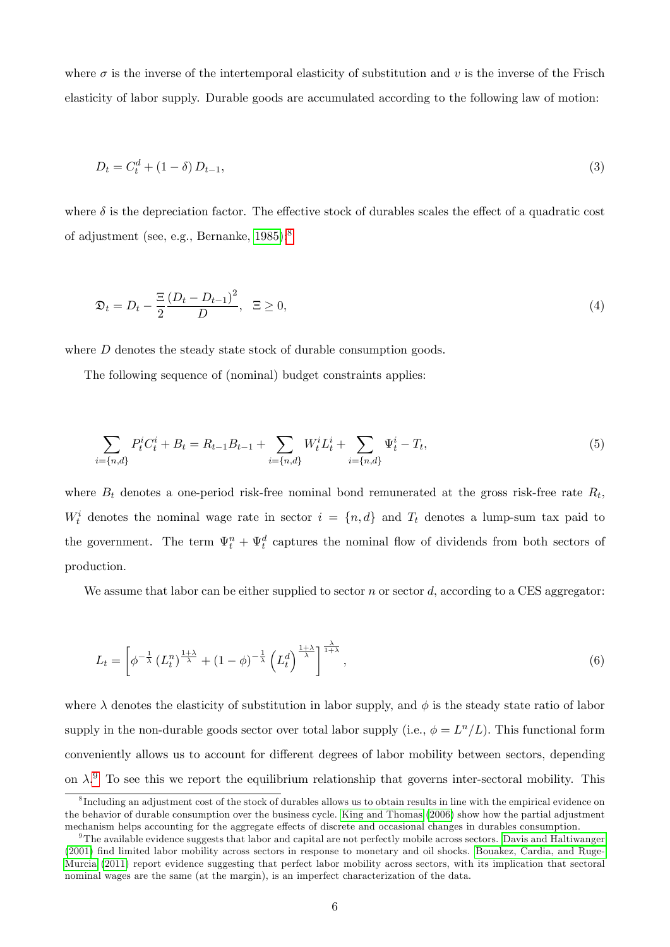where  $\sigma$  is the inverse of the intertemporal elasticity of substitution and v is the inverse of the Frisch elasticity of labor supply. Durable goods are accumulated according to the following law of motion:

$$
D_t = C_t^d + (1 - \delta) D_{t-1}, \tag{3}
$$

where  $\delta$  is the depreciation factor. The effective stock of durables scales the effect of a quadratic cost of adjustment (see, e.g., Bernanke, [1985\)](#page-24-2):[8](#page-5-0)

$$
\mathfrak{D}_t = D_t - \frac{\Xi}{2} \frac{\left(D_t - D_{t-1}\right)^2}{D}, \quad \Xi \ge 0,\tag{4}
$$

where D denotes the steady state stock of durable consumption goods.

The following sequence of (nominal) budget constraints applies:

$$
\sum_{i=\{n,d\}} P_t^i C_t^i + B_t = R_{t-1} B_{t-1} + \sum_{i=\{n,d\}} W_t^i L_t^i + \sum_{i=\{n,d\}} \Psi_t^i - T_t,
$$
\n(5)

where  $B_t$  denotes a one-period risk-free nominal bond remunerated at the gross risk-free rate  $R_t$ ,  $W_t^i$  denotes the nominal wage rate in sector  $i = \{n, d\}$  and  $T_t$  denotes a lump-sum tax paid to the government. The term  $\Psi_t^n + \Psi_t^d$  captures the nominal flow of dividends from both sectors of production.

<span id="page-5-2"></span>We assume that labor can be either supplied to sector n or sector d, according to a CES aggregator:

$$
L_t = \left[\phi^{-\frac{1}{\lambda}} \left(L_t^n\right)^{\frac{1+\lambda}{\lambda}} + (1-\phi)^{-\frac{1}{\lambda}} \left(L_t^d\right)^{\frac{1+\lambda}{\lambda}}\right]^{\frac{\lambda}{1+\lambda}},\tag{6}
$$

where  $\lambda$  denotes the elasticity of substitution in labor supply, and  $\phi$  is the steady state ratio of labor supply in the non-durable goods sector over total labor supply (i.e.,  $\phi = L^{n}/L$ ). This functional form conveniently allows us to account for different degrees of labor mobility between sectors, depending on  $\lambda$ <sup>[9](#page-5-1)</sup>. To see this we report the equilibrium relationship that governs inter-sectoral mobility. This

<span id="page-5-0"></span><sup>&</sup>lt;sup>8</sup>Including an adjustment cost of the stock of durables allows us to obtain results in line with the empirical evidence on the behavior of durable consumption over the business cycle. [King and Thomas](#page-26-8) [\(2006\)](#page-26-8) show how the partial adjustment mechanism helps accounting for the aggregate effects of discrete and occasional changes in durables consumption.

<span id="page-5-1"></span> $9$ The available evidence suggests that labor and capital are not perfectly mobile across sectors. [Davis and Haltiwanger](#page-25-6) [\(2001\)](#page-25-6) Önd limited labor mobility across sectors in response to monetary and oil shocks. [Bouakez, Cardia, and Ruge-](#page-25-3)[Murcia](#page-25-3) [\(2011\)](#page-25-3) report evidence suggesting that perfect labor mobility across sectors, with its implication that sectoral nominal wages are the same (at the margin), is an imperfect characterization of the data.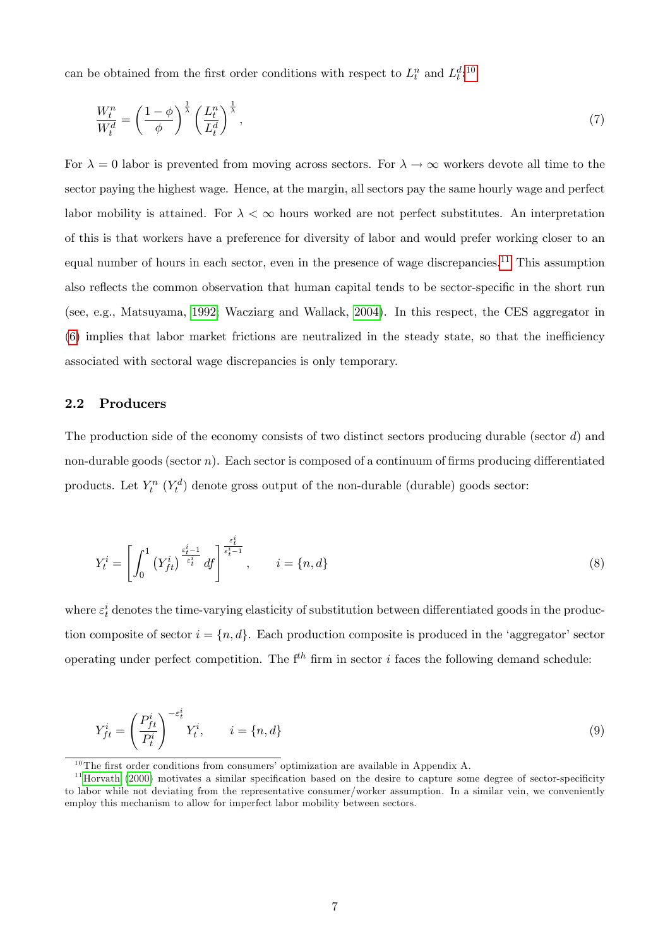can be obtained from the first order conditions with respect to  $L_t^n$  and  $L_t^d$ :<sup>[10](#page-6-0)</sup>

$$
\frac{W_t^n}{W_t^d} = \left(\frac{1-\phi}{\phi}\right)^{\frac{1}{\lambda}} \left(\frac{L_t^n}{L_t^d}\right)^{\frac{1}{\lambda}},\tag{7}
$$

For  $\lambda = 0$  labor is prevented from moving across sectors. For  $\lambda \to \infty$  workers devote all time to the sector paying the highest wage. Hence, at the margin, all sectors pay the same hourly wage and perfect labor mobility is attained. For  $\lambda < \infty$  hours worked are not perfect substitutes. An interpretation of this is that workers have a preference for diversity of labor and would prefer working closer to an equal number of hours in each sector, even in the presence of wage discrepancies.<sup>[11](#page-6-1)</sup> This assumption also reflects the common observation that human capital tends to be sector-specific in the short run (see, e.g., Matsuyama, [1992;](#page-27-5) Wacziarg and Wallack, [2004\)](#page-27-6). In this respect, the CES aggregator in  $(6)$  implies that labor market frictions are neutralized in the steady state, so that the inefficiency associated with sectoral wage discrepancies is only temporary.

### 2.2 Producers

The production side of the economy consists of two distinct sectors producing durable (sector d) and non-durable goods (sector n). Each sector is composed of a continuum of firms producing differentiated products. Let  $Y_t^n$   $(Y_t^d)$  denote gross output of the non-durable (durable) goods sector:

<span id="page-6-2"></span>
$$
Y_t^i = \left[ \int_0^1 \left( Y_{ft}^i \right)^{\frac{\varepsilon_t^i - 1}{\varepsilon_t^i}} df \right]^{\frac{\varepsilon_t^i}{\varepsilon_t^i - 1}}, \qquad i = \{n, d\}
$$

where  $\varepsilon_t^i$  denotes the time-varying elasticity of substitution between differentiated goods in the production composite of sector  $i = \{n, d\}$ . Each production composite is produced in the 'aggregator' sector operating under perfect competition. The  $f^{th}$  firm in sector *i* faces the following demand schedule:

<span id="page-6-3"></span>
$$
Y_{ft}^{i} = \left(\frac{P_{ft}^{i}}{P_{t}^{i}}\right)^{-\varepsilon_{t}^{i}}, \qquad i = \{n, d\}
$$
\n
$$
(9)
$$

<span id="page-6-1"></span><span id="page-6-0"></span> $^{10}\mathrm{The}$  first order conditions from consumers' optimization are available in Appendix A.

 $11$ [Horvath](#page-26-4) [\(2000\)](#page-26-4) motivates a similar specification based on the desire to capture some degree of sector-specificity to labor while not deviating from the representative consumer/worker assumption. In a similar vein, we conveniently employ this mechanism to allow for imperfect labor mobility between sectors.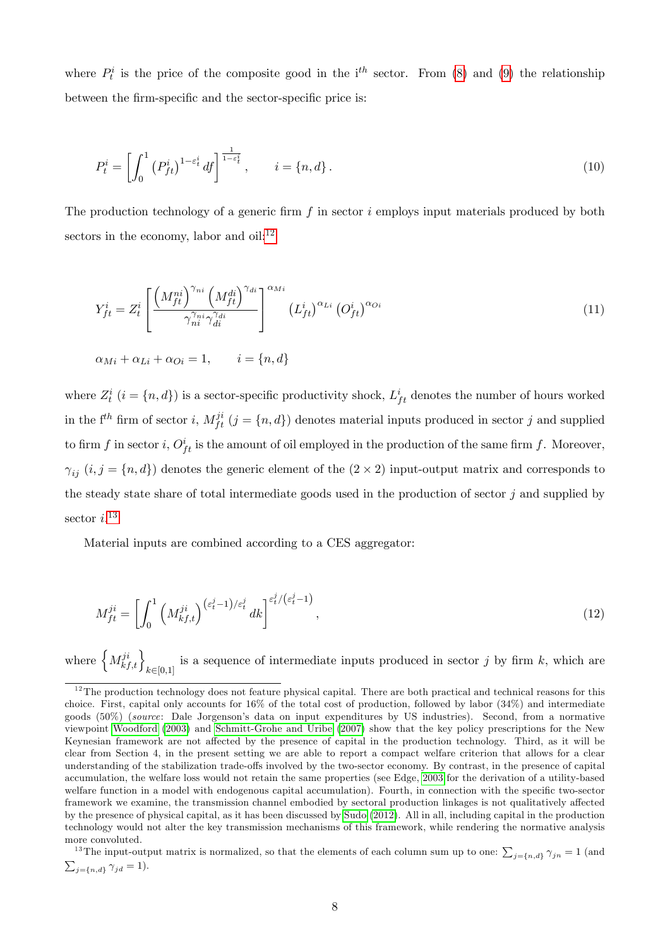where  $P_t^i$  is the price of the composite good in the i<sup>th</sup> sector. From [\(8\)](#page-6-2) and [\(9\)](#page-6-3) the relationship between the firm-specific and the sector-specific price is:

$$
P_t^i = \left[ \int_0^1 \left( P_{ft}^i \right)^{1 - \varepsilon_t^i} df \right]^\frac{1}{1 - \varepsilon_t^i}, \qquad i = \{n, d\}.
$$
\n
$$
(10)
$$

The production technology of a generic firm  $f$  in sector  $i$  employs input materials produced by both sectors in the economy, labor and oil: $^{12}$  $^{12}$  $^{12}$ 

$$
Y_{ft}^{i} = Z_{t}^{i} \left[ \frac{\left(M_{ft}^{ni}\right)^{\gamma_{ni}} \left(M_{ft}^{di}\right)^{\gamma_{di}}}{\gamma_{ni}^{\gamma_{ni}} \gamma_{di}^{\gamma_{di}}}\right]^{\alpha_{Mi}} \left(L_{ft}^{i}\right)^{\alpha_{Li}} \left(O_{ft}^{i}\right)^{\alpha_{Ci}} \tag{11}
$$

$$
\alpha_{Mi} + \alpha_{Li} + \alpha_{Qi} = 1, \qquad i = \{n, d\}
$$

where  $Z_t^i$   $(i = \{n, d\})$  is a sector-specific productivity shock,  $L_{ft}^i$  denotes the number of hours worked in the  $f^{th}$  firm of sector i,  $M_{ft}^{ji}$   $(j = {n, d} )$  denotes material inputs produced in sector j and supplied to firm f in sector i,  $O_{ft}^{i}$  is the amount of oil employed in the production of the same firm f. Moreover,  $\gamma_{ij}$   $(i, j = \{n, d\})$  denotes the generic element of the  $(2 \times 2)$  input-output matrix and corresponds to the steady state share of total intermediate goods used in the production of sector  $j$  and supplied by sector  $i.^{13}$  $i.^{13}$  $i.^{13}$ 

Material inputs are combined according to a CES aggregator:

$$
M_{ft}^{ji} = \left[ \int_0^1 \left( M_{kf,t}^{ji} \right)^{(\varepsilon_t^j - 1)/\varepsilon_t^j} dk \right]^{\varepsilon_t^j / (\varepsilon_t^j - 1)}, \tag{12}
$$

where  $\left\{M^{ji}_{kf,t}\right\}_{k\in[0,1]}$ is a sequence of intermediate inputs produced in sector  $j$  by firm  $k$ , which are

<span id="page-7-0"></span> $12$ The production technology does not feature physical capital. There are both practical and technical reasons for this choice. First, capital only accounts for 16% of the total cost of production, followed by labor (34%) and intermediate goods (50%) (source: Dale Jorgensonís data on input expenditures by US industries). Second, from a normative viewpoint [Woodford](#page-28-1) [\(2003\)](#page-28-1) and [Schmitt-Grohe and Uribe](#page-27-7) [\(2007\)](#page-27-7) show that the key policy prescriptions for the New Keynesian framework are not affected by the presence of capital in the production technology. Third, as it will be clear from Section 4, in the present setting we are able to report a compact welfare criterion that allows for a clear understanding of the stabilization trade-offs involved by the two-sector economy. By contrast, in the presence of capital accumulation, the welfare loss would not retain the same properties (see Edge, [2003](#page-25-7) for the derivation of a utility-based welfare function in a model with endogenous capital accumulation). Fourth, in connection with the specific two-sector framework we examine, the transmission channel embodied by sectoral production linkages is not qualitatively affected by the presence of physical capital, as it has been discussed by [Sudo](#page-27-4) [\(2012\)](#page-27-4). All in all, including capital in the production technology would not alter the key transmission mechanisms of this framework, while rendering the normative analysis more convoluted.

<span id="page-7-1"></span><sup>&</sup>lt;sup>13</sup>The input-output matrix is normalized, so that the elements of each column sum up to one:  $\sum_{j=\{n,d\}} \gamma_{jn} = 1$  (and  $\sum_{j=\{n,d\}} \gamma_{jd} = 1$ .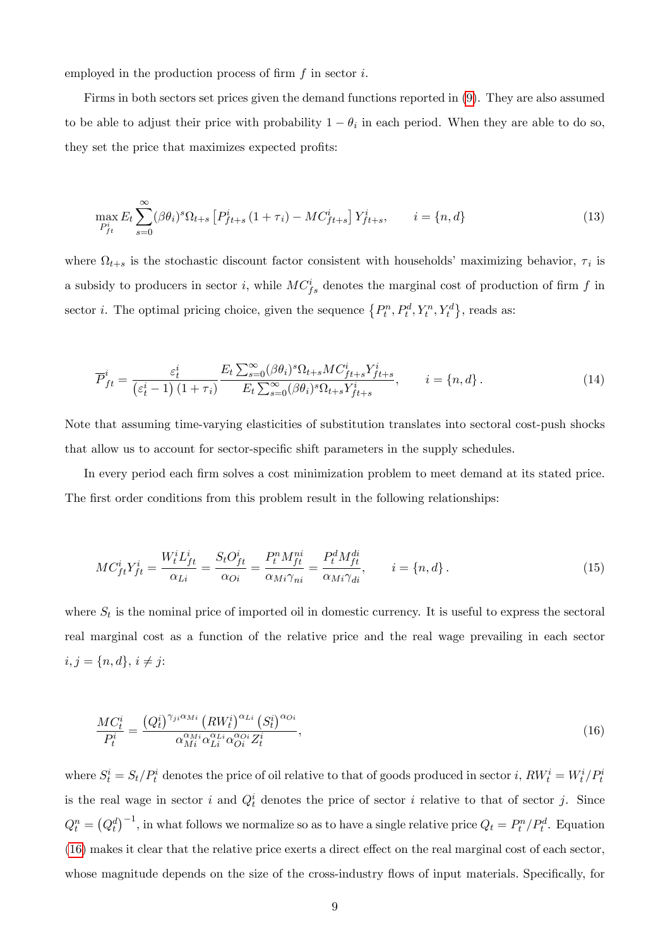employed in the production process of firm  $f$  in sector  $i$ .

Firms in both sectors set prices given the demand functions reported in [\(9\)](#page-6-3). They are also assumed to be able to adjust their price with probability  $1 - \theta_i$  in each period. When they are able to do so, they set the price that maximizes expected profits:

$$
\max_{P_{ft}^i} E_t \sum_{s=0}^{\infty} (\beta \theta_i)^s \Omega_{t+s} \left[ P_{ft+s}^i (1 + \tau_i) - MC_{ft+s}^i \right] Y_{ft+s}^i, \qquad i = \{n, d\}
$$
\n(13)

where  $\Omega_{t+s}$  is the stochastic discount factor consistent with households' maximizing behavior,  $\tau_i$  is a subsidy to producers in sector *i*, while  $MC_{fs}^i$  denotes the marginal cost of production of firm f in sector *i*. The optimal pricing choice, given the sequence  $\{P_t^n, P_t^d, Y_t^n, Y_t^d\}$ , reads as:

$$
\overline{P}_{ft}^{i} = \frac{\varepsilon_t^{i}}{\left(\varepsilon_t^{i} - 1\right)\left(1 + \tau_i\right)} \frac{E_t \sum_{s=0}^{\infty} (\beta \theta_i)^s \Omega_{t+s} M C_{ft+s}^{i} Y_{ft+s}^{i}}{E_t \sum_{s=0}^{\infty} (\beta \theta_i)^s \Omega_{t+s} Y_{ft+s}^{i}}, \qquad i = \{n, d\}.
$$
\n(14)

Note that assuming time-varying elasticities of substitution translates into sectoral cost-push shocks that allow us to account for sector-specific shift parameters in the supply schedules.

In every period each firm solves a cost minimization problem to meet demand at its stated price. The first order conditions from this problem result in the following relationships:

$$
MC_{ft}^i Y_{ft}^i = \frac{W_t^i L_{ft}^i}{\alpha_{Li}} = \frac{S_t O_{ft}^i}{\alpha_{Qi}} = \frac{P_t^n M_{ft}^{ni}}{\alpha_{Mi} \gamma_{ni}} = \frac{P_t^d M_{ft}^{di}}{\alpha_{Mi} \gamma_{di}}, \qquad i = \{n, d\}.
$$
 (15)

where  $S_t$  is the nominal price of imported oil in domestic currency. It is useful to express the sectoral real marginal cost as a function of the relative price and the real wage prevailing in each sector  $i, j = \{n, d\}, i \neq j:$ 

<span id="page-8-0"></span>
$$
\frac{MC_t^i}{P_t^i} = \frac{\left(Q_t^i\right)^{\gamma_{ji}\alpha_{Mi}} \left(RW_t^i\right)^{\alpha_{Li}} \left(S_t^i\right)^{\alpha_{Qi}}}{\alpha_{Mi}^{\alpha_{Mi}} \alpha_{Li}^{\alpha_{Qi}} \alpha_{Qi}^{\alpha_{Qi}} Z_t^i},\tag{16}
$$

where  $S_t^i = S_t/P_t^i$  denotes the price of oil relative to that of goods produced in sector i,  $RW_t^i = W_t^i/P_t^i$ is the real wage in sector i and  $Q_t^i$  denotes the price of sector i relative to that of sector j. Since  $Q_t^n = (Q_t^d)^{-1}$ , in what follows we normalize so as to have a single relative price  $Q_t = P_t^n / P_t^d$ . Equation  $(16)$  makes it clear that the relative price exerts a direct effect on the real marginal cost of each sector, whose magnitude depends on the size of the cross-industry flows of input materials. Specifically, for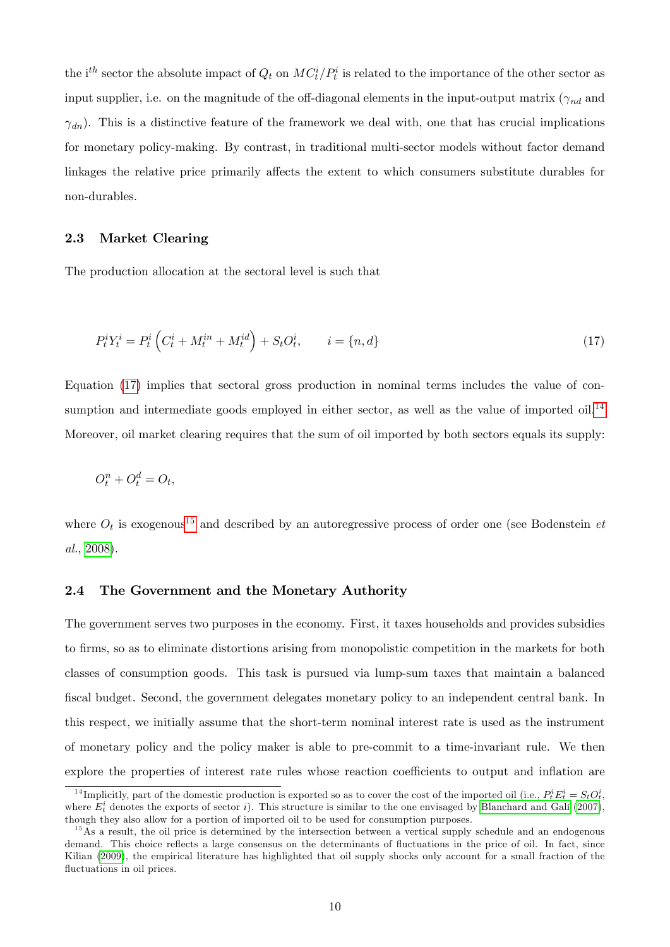the i<sup>th</sup> sector the absolute impact of  $Q_t$  on  $MC_t^i/P_t^i$  is related to the importance of the other sector as input supplier, i.e. on the magnitude of the off-diagonal elements in the input-output matrix  $(\gamma_{nd}$  and  $\gamma_{dn}$ ). This is a distinctive feature of the framework we deal with, one that has crucial implications for monetary policy-making. By contrast, in traditional multi-sector models without factor demand linkages the relative price primarily affects the extent to which consumers substitute durables for non-durables.

### 2.3 Market Clearing

<span id="page-9-0"></span>The production allocation at the sectoral level is such that

$$
P_t^i Y_t^i = P_t^i \left( C_t^i + M_t^{in} + M_t^{id} \right) + S_t O_t^i, \qquad i = \{n, d\}
$$
\n(17)

Equation [\(17\)](#page-9-0) implies that sectoral gross production in nominal terms includes the value of con-sumption and intermediate goods employed in either sector, as well as the value of imported oil.<sup>[14](#page-9-1)</sup> Moreover, oil market clearing requires that the sum of oil imported by both sectors equals its supply:

$$
O_t^n + O_t^d = O_t,
$$

where  $O_t$  is exogenous<sup>[15](#page-9-2)</sup> and described by an autoregressive process of order one (see Bodenstein *et* al., [2008\)](#page-25-8).

### 2.4 The Government and the Monetary Authority

The government serves two purposes in the economy. First, it taxes households and provides subsidies to Örms, so as to eliminate distortions arising from monopolistic competition in the markets for both classes of consumption goods. This task is pursued via lump-sum taxes that maintain a balanced fiscal budget. Second, the government delegates monetary policy to an independent central bank. In this respect, we initially assume that the short-term nominal interest rate is used as the instrument of monetary policy and the policy maker is able to pre-commit to a time-invariant rule. We then explore the properties of interest rate rules whose reaction coefficients to output and inflation are

<span id="page-9-1"></span><sup>&</sup>lt;sup>14</sup>Implicitly, part of the domestic production is exported so as to cover the cost of the imported oil (i.e.,  $P_t^i E_t^i = S_t O_t^i$ , where  $E_t^i$  denotes the exports of sector i). This structure is similar to the one envisaged by Blanchard and Galí [\(2007\)](#page-24-3), though they also allow for a portion of imported oil to be used for consumption purposes.

<span id="page-9-2"></span> $15\text{ As a result, the oil price is determined by the intersection between a vertical supply schedule and an endogenous.}$ demand. This choice reflects a large consensus on the determinants of fluctuations in the price of oil. In fact, since Kilian [\(2009\)](#page-26-9), the empirical literature has highlighted that oil supply shocks only account for a small fraction of the fluctuations in oil prices.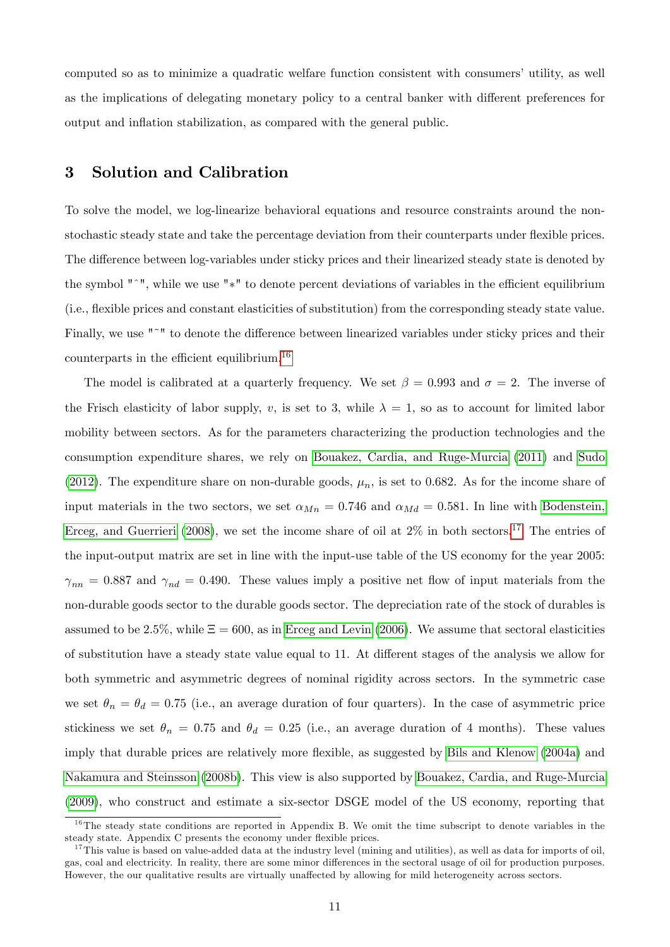computed so as to minimize a quadratic welfare function consistent with consumers' utility, as well as the implications of delegating monetary policy to a central banker with different preferences for output and inflation stabilization, as compared with the general public.

## 3 Solution and Calibration

To solve the model, we log-linearize behavioral equations and resource constraints around the nonstochastic steady state and take the percentage deviation from their counterparts under flexible prices. The difference between log-variables under sticky prices and their linearized steady state is denoted by the symbol  $"$ ", while we use " $*$ " to denote percent deviations of variables in the efficient equilibrium (i.e., áexible prices and constant elasticities of substitution) from the corresponding steady state value. Finally, we use "<sup>~</sup>" to denote the difference between linearized variables under sticky prices and their counterparts in the efficient equilibrium.<sup>[16](#page-10-0)</sup>

The model is calibrated at a quarterly frequency. We set  $\beta = 0.993$  and  $\sigma = 2$ . The inverse of the Frisch elasticity of labor supply, v, is set to 3, while  $\lambda = 1$ , so as to account for limited labor mobility between sectors. As for the parameters characterizing the production technologies and the consumption expenditure shares, we rely on [Bouakez, Cardia, and Ruge-Murcia](#page-25-3) [\(2011\)](#page-25-3) and [Sudo](#page-27-4) [\(2012\)](#page-27-4). The expenditure share on non-durable goods,  $\mu_n$ , is set to 0.682. As for the income share of input materials in the two sectors, we set  $\alpha_{Mn} = 0.746$  and  $\alpha_{Md} = 0.581$ . In line with [Bodenstein,](#page-25-8) [Erceg, and Guerrieri](#page-25-8) [\(2008\)](#page-25-8), we set the income share of oil at  $2\%$  in both sectors.<sup>[17](#page-10-1)</sup> The entries of the input-output matrix are set in line with the input-use table of the US economy for the year 2005:  $\gamma_{nn} = 0.887$  and  $\gamma_{nd} = 0.490$ . These values imply a positive net flow of input materials from the non-durable goods sector to the durable goods sector. The depreciation rate of the stock of durables is assumed to be 2.5%, while  $\Xi = 600$ , as in [Erceg and Levin](#page-25-0) [\(2006\)](#page-25-0). We assume that sectoral elasticities of substitution have a steady state value equal to 11. At different stages of the analysis we allow for both symmetric and asymmetric degrees of nominal rigidity across sectors. In the symmetric case we set  $\theta_n = \theta_d = 0.75$  (i.e., an average duration of four quarters). In the case of asymmetric price stickiness we set  $\theta_n = 0.75$  and  $\theta_d = 0.25$  (i.e., an average duration of 4 months). These values imply that durable prices are relatively more flexible, as suggested by [Bils and Klenow](#page-24-4) [\(2004a\)](#page-24-4) and [Nakamura and Steinsson](#page-27-8) [\(2008b\)](#page-27-8). This view is also supported by [Bouakez, Cardia, and Ruge-Murcia](#page-25-2) [\(2009\)](#page-25-2), who construct and estimate a six-sector DSGE model of the US economy, reporting that

<span id="page-10-0"></span><sup>&</sup>lt;sup>16</sup>The steady state conditions are reported in Appendix B. We omit the time subscript to denote variables in the steady state. Appendix C presents the economy under flexible prices.

<span id="page-10-1"></span> $17$ This value is based on value-added data at the industry level (mining and utilities), as well as data for imports of oil, gas, coal and electricity. In reality, there are some minor differences in the sectoral usage of oil for production purposes. However, the our qualitative results are virtually unaffected by allowing for mild heterogeneity across sectors.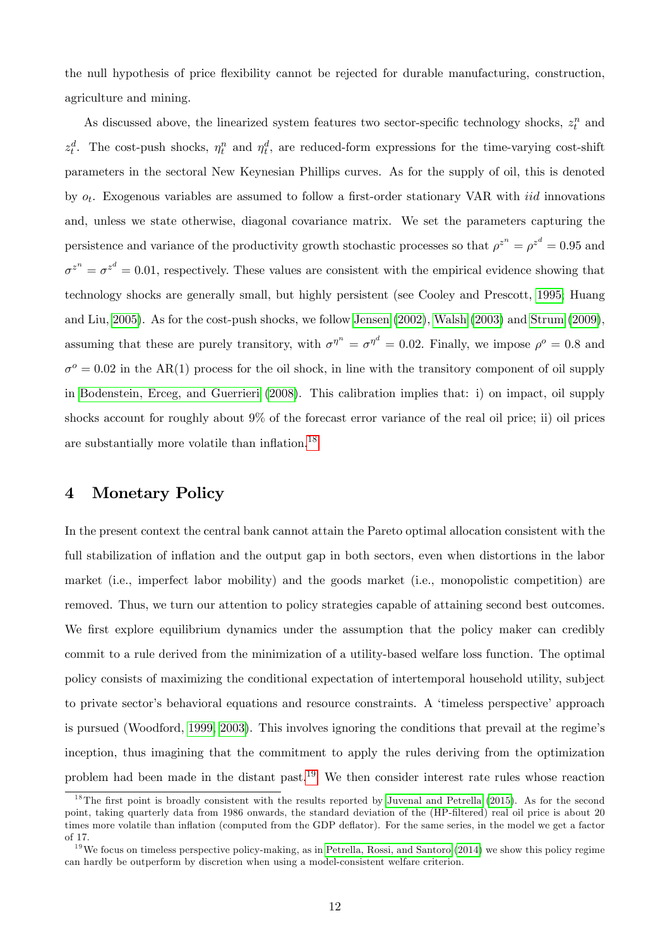the null hypothesis of price flexibility cannot be rejected for durable manufacturing, construction, agriculture and mining.

As discussed above, the linearized system features two sector-specific technology shocks,  $z_t^n$  and  $z_t^d$ . The cost-push shocks,  $\eta_t^n$  and  $\eta_t^d$ , are reduced-form expressions for the time-varying cost-shift parameters in the sectoral New Keynesian Phillips curves. As for the supply of oil, this is denoted by  $o_t$ . Exogenous variables are assumed to follow a first-order stationary VAR with *iid* innovations and, unless we state otherwise, diagonal covariance matrix. We set the parameters capturing the persistence and variance of the productivity growth stochastic processes so that  $\rho^{z^n} = \rho^{z^d} = 0.95$  and  $\sigma^{z^n} = \sigma^{z^d} = 0.01$ , respectively. These values are consistent with the empirical evidence showing that technology shocks are generally small, but highly persistent (see Cooley and Prescott, [1995;](#page-25-9) Huang and Liu, [2005\)](#page-26-0). As for the cost-push shocks, we follow [Jensen](#page-26-10) [\(2002\)](#page-26-10), [Walsh](#page-28-2) [\(2003\)](#page-28-2) and [Strum](#page-27-9) [\(2009\)](#page-27-9), assuming that these are purely transitory, with  $\sigma^{\eta^n} = \sigma^{\eta^d} = 0.02$ . Finally, we impose  $\rho^o = 0.8$  and  $\sigma^o = 0.02$  in the AR(1) process for the oil shock, in line with the transitory component of oil supply in [Bodenstein, Erceg, and Guerrieri](#page-25-8) [\(2008\)](#page-25-8). This calibration implies that: i) on impact, oil supply shocks account for roughly about 9% of the forecast error variance of the real oil price; ii) oil prices are substantially more volatile than inflation. $^{18}$  $^{18}$  $^{18}$ 

## 4 Monetary Policy

In the present context the central bank cannot attain the Pareto optimal allocation consistent with the full stabilization of inflation and the output gap in both sectors, even when distortions in the labor market (i.e., imperfect labor mobility) and the goods market (i.e., monopolistic competition) are removed. Thus, we turn our attention to policy strategies capable of attaining second best outcomes. We first explore equilibrium dynamics under the assumption that the policy maker can credibly commit to a rule derived from the minimization of a utility-based welfare loss function. The optimal policy consists of maximizing the conditional expectation of intertemporal household utility, subject to private sector's behavioral equations and resource constraints. A 'timeless perspective' approach is pursued (Woodford, [1999,](#page-28-0) [2003\)](#page-28-1). This involves ignoring the conditions that prevail at the regime's inception, thus imagining that the commitment to apply the rules deriving from the optimization problem had been made in the distant past.<sup>[19](#page-11-1)</sup> We then consider interest rate rules whose reaction

<span id="page-11-0"></span> $18$ The first point is broadly consistent with the results reported by [Juvenal and Petrella](#page-26-11) [\(2015\)](#page-26-11). As for the second point, taking quarterly data from 1986 onwards, the standard deviation of the (HP-filtered) real oil price is about 20 times more volatile than inflation (computed from the GDP deflator). For the same series, in the model we get a factor of 17.

<span id="page-11-1"></span> $19$ We focus on timeless perspective policy-making, as in [Petrella, Rossi, and Santoro](#page-27-3) [\(2014\)](#page-27-3) we show this policy regime can hardly be outperform by discretion when using a model-consistent welfare criterion.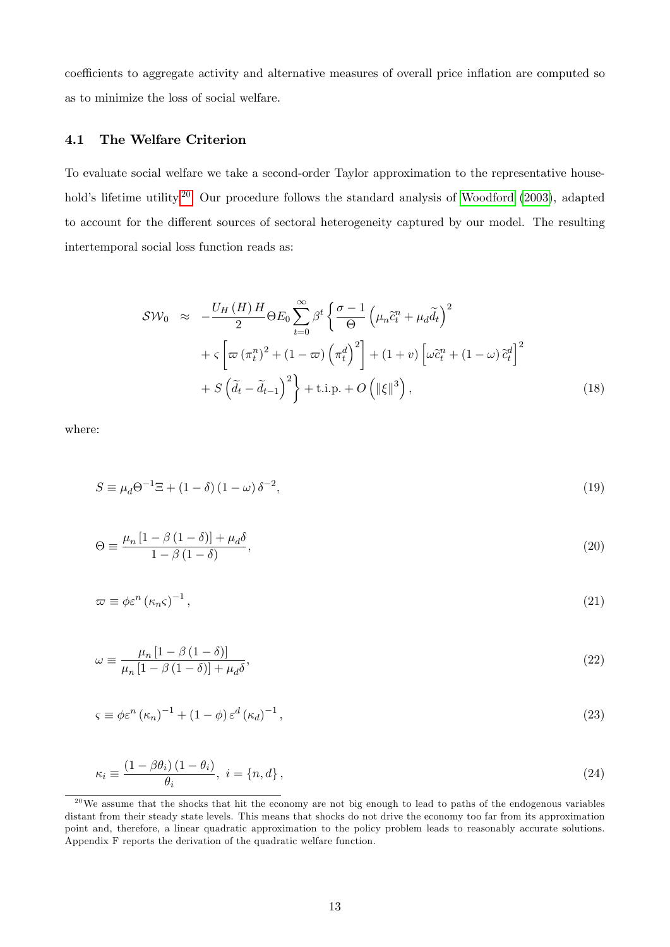coefficients to aggregate activity and alternative measures of overall price inflation are computed so as to minimize the loss of social welfare.

## 4.1 The Welfare Criterion

To evaluate social welfare we take a second-order Taylor approximation to the representative house-hold's lifetime utility.<sup>[20](#page-12-0)</sup> Our procedure follows the standard analysis of [Woodford](#page-28-1) [\(2003\)](#page-28-1), adapted to account for the different sources of sectoral heterogeneity captured by our model. The resulting intertemporal social loss function reads as:

<span id="page-12-1"></span>
$$
SW_0 \approx -\frac{U_H(H)H}{2}\Theta E_0 \sum_{t=0}^{\infty} \beta^t \left\{ \frac{\sigma - 1}{\Theta} \left( \mu_n \tilde{c}_t^n + \mu_d \tilde{d}_t \right)^2 + \zeta \left[ \varpi (\pi_t^n)^2 + (1 - \varpi) \left( \pi_t^d \right)^2 \right] + (1 + v) \left[ \omega \tilde{c}_t^n + (1 - \omega) \tilde{c}_t^d \right]^2 + S \left( \tilde{d}_t - \tilde{d}_{t-1} \right)^2 \right\} + \text{t.i.p.} + O \left( \|\xi\|^3 \right), \tag{18}
$$

where:

$$
S \equiv \mu_d \Theta^{-1} \Xi + (1 - \delta)(1 - \omega)\delta^{-2},\tag{19}
$$

$$
\Theta \equiv \frac{\mu_n \left[1 - \beta \left(1 - \delta\right)\right] + \mu_d \delta}{1 - \beta \left(1 - \delta\right)},\tag{20}
$$

$$
\varpi \equiv \phi \varepsilon^{n} \left( \kappa_{n} \varsigma \right)^{-1}, \tag{21}
$$

$$
\omega \equiv \frac{\mu_n \left[1 - \beta \left(1 - \delta\right)\right]}{\mu_n \left[1 - \beta \left(1 - \delta\right)\right] + \mu_d \delta},\tag{22}
$$

$$
\varsigma \equiv \phi \varepsilon^{n} \left( \kappa_{n} \right)^{-1} + \left( 1 - \phi \right) \varepsilon^{d} \left( \kappa_{d} \right)^{-1}, \tag{23}
$$

$$
\kappa_i \equiv \frac{\left(1 - \beta \theta_i\right)\left(1 - \theta_i\right)}{\theta_i}, \ i = \{n, d\},\tag{24}
$$

<span id="page-12-0"></span> $20$ We assume that the shocks that hit the economy are not big enough to lead to paths of the endogenous variables distant from their steady state levels. This means that shocks do not drive the economy too far from its approximation point and, therefore, a linear quadratic approximation to the policy problem leads to reasonably accurate solutions. Appendix F reports the derivation of the quadratic welfare function.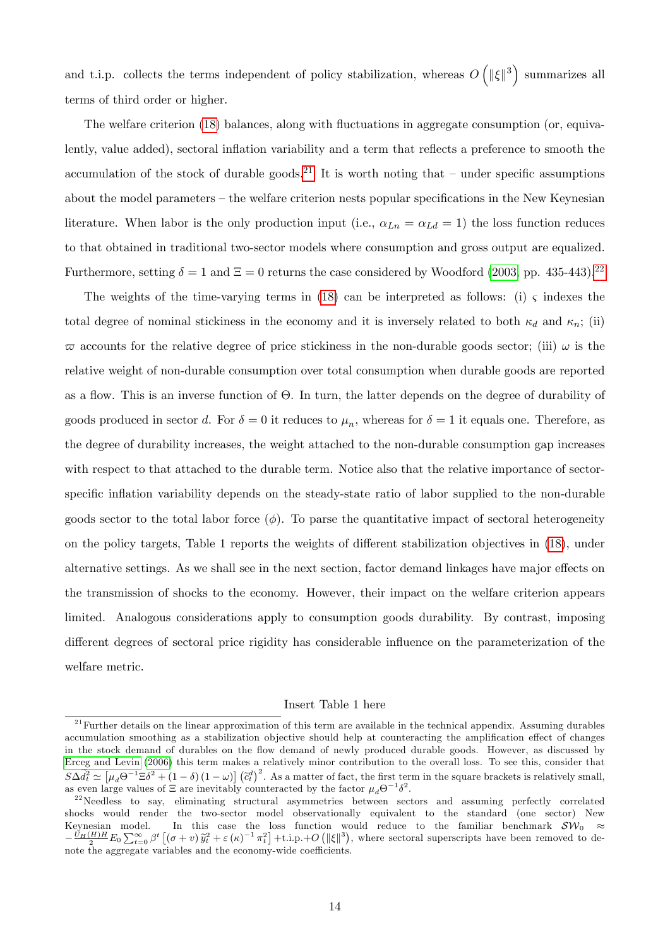and t.i.p. collects the terms independent of policy stabilization, whereas  $O(|\xi||^3)$  summarizes all terms of third order or higher.

The welfare criterion [\(18\)](#page-12-1) balances, along with fluctuations in aggregate consumption (or, equivalently, value added), sectoral inflation variability and a term that reflects a preference to smooth the accumulation of the stock of durable goods.<sup>[21](#page-13-0)</sup> It is worth noting that – under specific assumptions about the model parameters  $-$  the welfare criterion nests popular specifications in the New Keynesian literature. When labor is the only production input (i.e.,  $\alpha_{Ln} = \alpha_{Ld} = 1$ ) the loss function reduces to that obtained in traditional two-sector models where consumption and gross output are equalized. Furthermore, setting  $\delta = 1$  and  $\Xi = 0$  returns the case considered by Woodford [\(2003,](#page-28-1) pp. 435-443).<sup>[22](#page-13-1)</sup>

The weights of the time-varying terms in [\(18\)](#page-12-1) can be interpreted as follows: (i)  $\varsigma$  indexes the total degree of nominal stickiness in the economy and it is inversely related to both  $\kappa_d$  and  $\kappa_n$ ; (ii)  $\varpi$  accounts for the relative degree of price stickiness in the non-durable goods sector; (iii)  $\omega$  is the relative weight of non-durable consumption over total consumption when durable goods are reported as a flow. This is an inverse function of  $\Theta$ . In turn, the latter depends on the degree of durability of goods produced in sector d. For  $\delta = 0$  it reduces to  $\mu_n$ , whereas for  $\delta = 1$  it equals one. Therefore, as the degree of durability increases, the weight attached to the non-durable consumption gap increases with respect to that attached to the durable term. Notice also that the relative importance of sectorspecific inflation variability depends on the steady-state ratio of labor supplied to the non-durable goods sector to the total labor force  $(\phi)$ . To parse the quantitative impact of sectoral heterogeneity on the policy targets, Table 1 reports the weights of different stabilization objectives in [\(18\)](#page-12-1), under alternative settings. As we shall see in the next section, factor demand linkages have major effects on the transmission of shocks to the economy. However, their impact on the welfare criterion appears limited. Analogous considerations apply to consumption goods durability. By contrast, imposing different degrees of sectoral price rigidity has considerable influence on the parameterization of the welfare metric.

#### Insert Table 1 here

<span id="page-13-0"></span> $21$  Further details on the linear approximation of this term are available in the technical appendix. Assuming durables accumulation smoothing as a stabilization objective should help at counteracting the amplification effect of changes in the stock demand of durables on the flow demand of newly produced durable goods. However, as discussed by [Erceg and Levin](#page-25-0) [\(2006\)](#page-25-0) this term makes a relatively minor contribution to the overall loss. To see this, consider that  $S\Delta \tilde{d}_t^2 \simeq [\mu_d \Theta^{-1} \Xi \delta^2 + (1-\delta)(1-\omega)] (\tilde{c}_t^d)^2$ . As a matter of fact, the first term in the square brackets is relatively small, as even large values of  $\Xi$  are inevitably counteracted by the factor  $\mu_d \Theta^{-1} \delta^2$ .

<span id="page-13-1"></span><sup>&</sup>lt;sup>22</sup>Needless to say, eliminating structural asymmetries between sectors and assuming perfectly correlated shocks would render the two-sector model observationally equivalent to the standard (one sector) New Keynesian model. In this case the loss function would reduce to the familiar benchmark  $SW_0 \approx$  $-\frac{U_H(H)H}{2}E_0\sum_{t=0}^{\infty}\beta^t\left[(\sigma+v)\tilde{y}_t^2+\varepsilon(\kappa)^{-1}\pi_t^2\right]+\text{i.p.}+O\left(\|\xi\|^3\right),$  where sectoral superscripts have been removed to denote the aggregate variables and the economy-wide coefficients.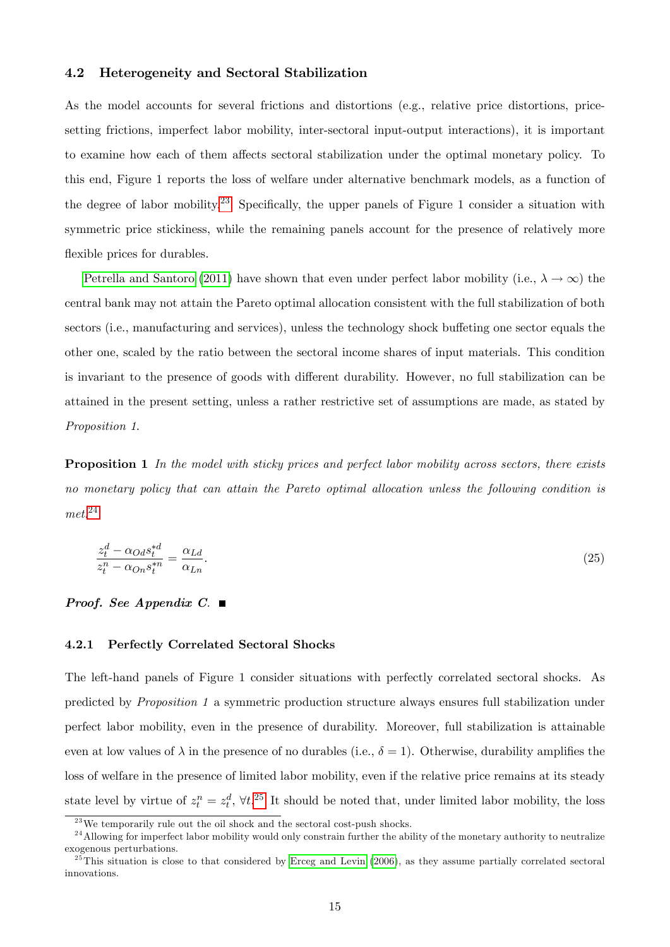### 4.2 Heterogeneity and Sectoral Stabilization

As the model accounts for several frictions and distortions (e.g., relative price distortions, pricesetting frictions, imperfect labor mobility, inter-sectoral input-output interactions), it is important to examine how each of them affects sectoral stabilization under the optimal monetary policy. To this end, Figure 1 reports the loss of welfare under alternative benchmark models, as a function of the degree of labor mobility.<sup>[23](#page-14-0)</sup> Specifically, the upper panels of Figure 1 consider a situation with symmetric price stickiness, while the remaining panels account for the presence of relatively more flexible prices for durables.

[Petrella and Santoro](#page-27-0) [\(2011\)](#page-27-0) have shown that even under perfect labor mobility (i.e.,  $\lambda \to \infty$ ) the central bank may not attain the Pareto optimal allocation consistent with the full stabilization of both sectors (i.e., manufacturing and services), unless the technology shock buffeting one sector equals the other one, scaled by the ratio between the sectoral income shares of input materials. This condition is invariant to the presence of goods with different durability. However, no full stabilization can be attained in the present setting, unless a rather restrictive set of assumptions are made, as stated by Proposition 1.

**Proposition 1** In the model with sticky prices and perfect labor mobility across sectors, there exists no monetary policy that can attain the Pareto optimal allocation unless the following condition is  $met.^{24}$  $met.^{24}$  $met.^{24}$ 

$$
\frac{z_t^d - \alpha_{Od} s_t^{*d}}{z_t^n - \alpha_{On} s_t^{*n}} = \frac{\alpha_{Ld}}{\alpha_{Ln}}.\tag{25}
$$

#### **Proof.** See Appendix C.  $\blacksquare$

### 4.2.1 Perfectly Correlated Sectoral Shocks

The left-hand panels of Figure 1 consider situations with perfectly correlated sectoral shocks. As predicted by Proposition 1 a symmetric production structure always ensures full stabilization under perfect labor mobility, even in the presence of durability. Moreover, full stabilization is attainable even at low values of  $\lambda$  in the presence of no durables (i.e.,  $\delta = 1$ ). Otherwise, durability amplifies the loss of welfare in the presence of limited labor mobility, even if the relative price remains at its steady state level by virtue of  $z_t^n = z_t^d$ ,  $\forall t$ .<sup>[25](#page-14-2)</sup> It should be noted that, under limited labor mobility, the loss

<span id="page-14-1"></span><span id="page-14-0"></span> $^{23}$ We temporarily rule out the oil shock and the sectoral cost-push shocks.

<sup>&</sup>lt;sup>24</sup>Allowing for imperfect labor mobility would only constrain further the ability of the monetary authority to neutralize exogenous perturbations.

<span id="page-14-2"></span> $^{25}$ This situation is close to that considered by [Erceg and Levin](#page-25-0) [\(2006\)](#page-25-0), as they assume partially correlated sectoral innovations.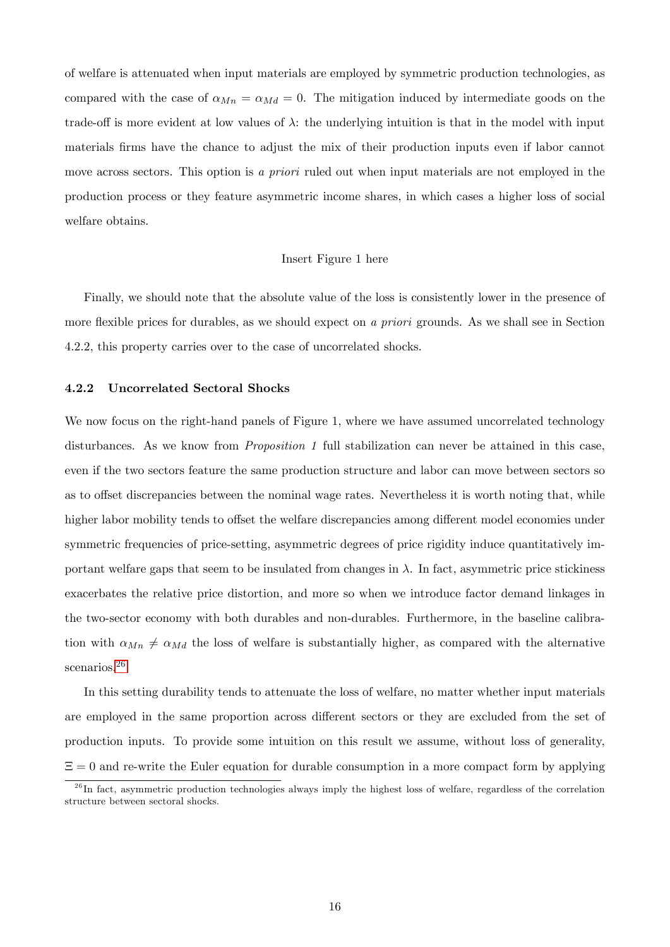of welfare is attenuated when input materials are employed by symmetric production technologies, as compared with the case of  $\alpha_{Mn} = \alpha_{Md} = 0$ . The mitigation induced by intermediate goods on the trade-off is more evident at low values of  $\lambda$ : the underlying intuition is that in the model with input materials firms have the chance to adjust the mix of their production inputs even if labor cannot move across sectors. This option is a priori ruled out when input materials are not employed in the production process or they feature asymmetric income shares, in which cases a higher loss of social welfare obtains.

#### Insert Figure 1 here

Finally, we should note that the absolute value of the loss is consistently lower in the presence of more flexible prices for durables, as we should expect on a priori grounds. As we shall see in Section 4.2.2, this property carries over to the case of uncorrelated shocks.

### 4.2.2 Uncorrelated Sectoral Shocks

We now focus on the right-hand panels of Figure 1, where we have assumed uncorrelated technology disturbances. As we know from *Proposition 1* full stabilization can never be attained in this case, even if the two sectors feature the same production structure and labor can move between sectors so as to offset discrepancies between the nominal wage rates. Nevertheless it is worth noting that, while higher labor mobility tends to offset the welfare discrepancies among different model economies under symmetric frequencies of price-setting, asymmetric degrees of price rigidity induce quantitatively important welfare gaps that seem to be insulated from changes in  $\lambda$ . In fact, asymmetric price stickiness exacerbates the relative price distortion, and more so when we introduce factor demand linkages in the two-sector economy with both durables and non-durables. Furthermore, in the baseline calibration with  $\alpha_{Mn} \neq \alpha_{Md}$  the loss of welfare is substantially higher, as compared with the alternative scenarios.<sup>[26](#page-15-0)</sup>

In this setting durability tends to attenuate the loss of welfare, no matter whether input materials are employed in the same proportion across different sectors or they are excluded from the set of production inputs. To provide some intuition on this result we assume, without loss of generality,  $\Xi = 0$  and re-write the Euler equation for durable consumption in a more compact form by applying

<span id="page-15-0"></span> $^{26}$ In fact, asymmetric production technologies always imply the highest loss of welfare, regardless of the correlation structure between sectoral shocks.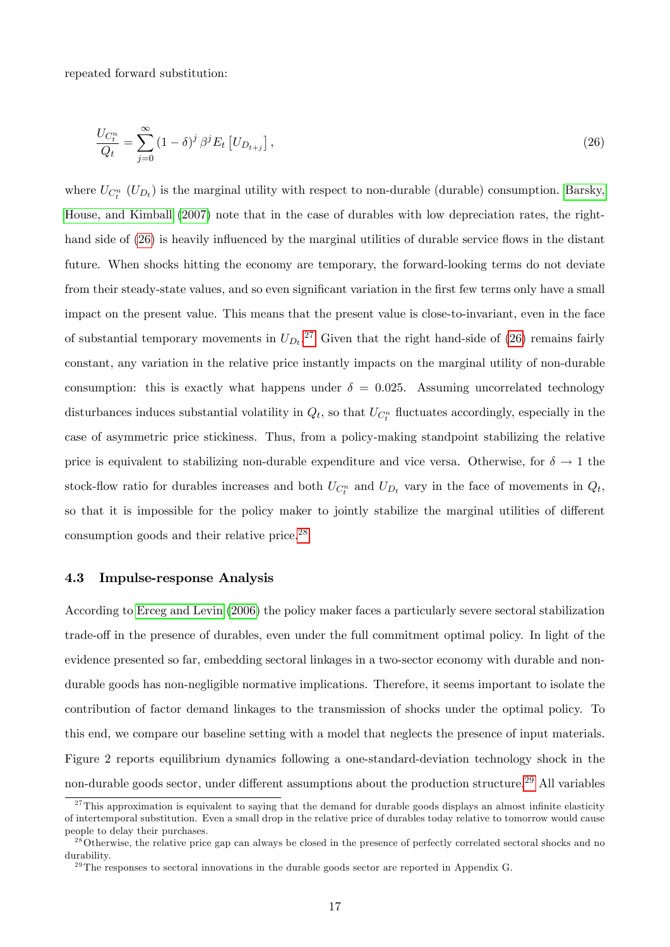<span id="page-16-0"></span>repeated forward substitution:

$$
\frac{U_{C_t^n}}{Q_t} = \sum_{j=0}^{\infty} (1 - \delta)^j \beta^j E_t \left[ U_{D_{t+j}} \right],\tag{26}
$$

where  $U_{C_t^n}$   $(U_{D_t})$  is the marginal utility with respect to non-durable (durable) consumption. [Barsky,](#page-24-0) [House, and Kimball](#page-24-0) [\(2007\)](#page-24-0) note that in the case of durables with low depreciation rates, the right-hand side of [\(26\)](#page-16-0) is heavily influenced by the marginal utilities of durable service flows in the distant future. When shocks hitting the economy are temporary, the forward-looking terms do not deviate from their steady-state values, and so even significant variation in the first few terms only have a small impact on the present value. This means that the present value is close-to-invariant, even in the face of substantial temporary movements in  $U_{D_t}$ .<sup>[27](#page-16-1)</sup> Given that the right hand-side of [\(26\)](#page-16-0) remains fairly constant, any variation in the relative price instantly impacts on the marginal utility of non-durable consumption: this is exactly what happens under  $\delta = 0.025$ . Assuming uncorrelated technology disturbances induces substantial volatility in  $Q_t$ , so that  $U_{C_t^n}$  fluctuates accordingly, especially in the case of asymmetric price stickiness. Thus, from a policy-making standpoint stabilizing the relative price is equivalent to stabilizing non-durable expenditure and vice versa. Otherwise, for  $\delta \to 1$  the stock-flow ratio for durables increases and both  $U_{C_t^n}$  and  $U_{D_t}$  vary in the face of movements in  $Q_t$ , so that it is impossible for the policy maker to jointly stabilize the marginal utilities of different consumption goods and their relative price.[28](#page-16-2)

#### 4.3 Impulse-response Analysis

According to [Erceg and Levin](#page-25-0) [\(2006\)](#page-25-0) the policy maker faces a particularly severe sectoral stabilization trade-off in the presence of durables, even under the full commitment optimal policy. In light of the evidence presented so far, embedding sectoral linkages in a two-sector economy with durable and nondurable goods has non-negligible normative implications. Therefore, it seems important to isolate the contribution of factor demand linkages to the transmission of shocks under the optimal policy. To this end, we compare our baseline setting with a model that neglects the presence of input materials. Figure 2 reports equilibrium dynamics following a one-standard-deviation technology shock in the non-durable goods sector, under different assumptions about the production structure.<sup>[29](#page-16-3)</sup> All variables

<span id="page-16-1"></span> $27$ This approximation is equivalent to saying that the demand for durable goods displays an almost infinite elasticity of intertemporal substitution. Even a small drop in the relative price of durables today relative to tomorrow would cause people to delay their purchases.

<span id="page-16-2"></span><sup>&</sup>lt;sup>28</sup>Otherwise, the relative price gap can always be closed in the presence of perfectly correlated sectoral shocks and no durability.

<span id="page-16-3"></span> $29$ The responses to sectoral innovations in the durable goods sector are reported in Appendix G.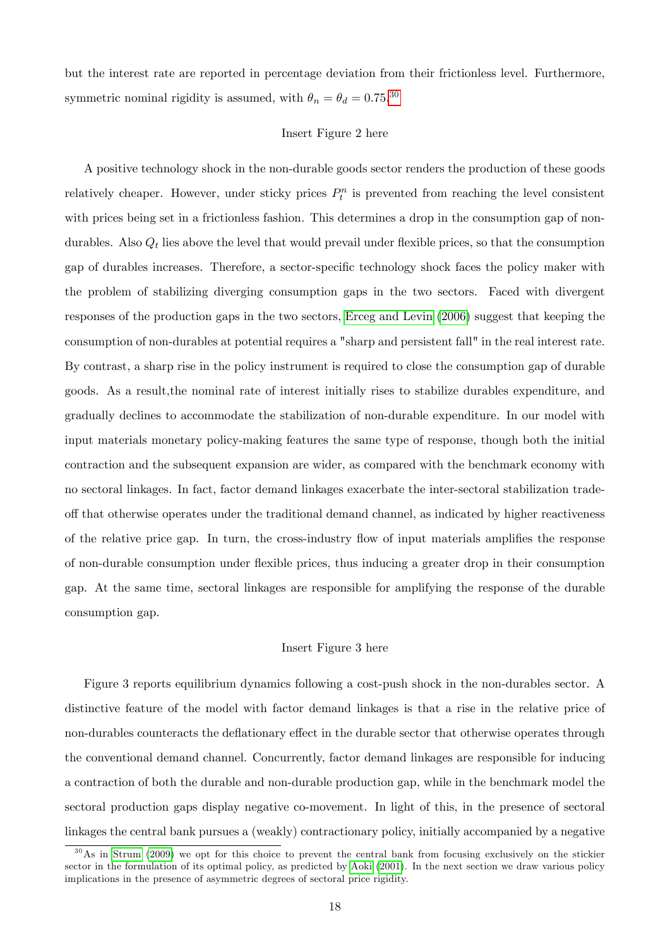but the interest rate are reported in percentage deviation from their frictionless level. Furthermore, symmetric nominal rigidity is assumed, with  $\theta_n = \theta_d = 0.75^{0.30}$  $\theta_n = \theta_d = 0.75^{0.30}$  $\theta_n = \theta_d = 0.75^{0.30}$ 

#### Insert Figure 2 here

A positive technology shock in the non-durable goods sector renders the production of these goods relatively cheaper. However, under sticky prices  $P_t^n$  is prevented from reaching the level consistent with prices being set in a frictionless fashion. This determines a drop in the consumption gap of nondurables. Also  $Q_t$  lies above the level that would prevail under flexible prices, so that the consumption gap of durables increases. Therefore, a sector-specific technology shock faces the policy maker with the problem of stabilizing diverging consumption gaps in the two sectors. Faced with divergent responses of the production gaps in the two sectors, [Erceg and Levin](#page-25-0) [\(2006\)](#page-25-0) suggest that keeping the consumption of non-durables at potential requires a "sharp and persistent fall" in the real interest rate. By contrast, a sharp rise in the policy instrument is required to close the consumption gap of durable goods. As a result,the nominal rate of interest initially rises to stabilize durables expenditure, and gradually declines to accommodate the stabilization of non-durable expenditure. In our model with input materials monetary policy-making features the same type of response, though both the initial contraction and the subsequent expansion are wider, as compared with the benchmark economy with no sectoral linkages. In fact, factor demand linkages exacerbate the inter-sectoral stabilization tradeoff that otherwise operates under the traditional demand channel, as indicated by higher reactiveness of the relative price gap. In turn, the cross-industry flow of input materials amplifies the response of non-durable consumption under áexible prices, thus inducing a greater drop in their consumption gap. At the same time, sectoral linkages are responsible for amplifying the response of the durable consumption gap.

#### Insert Figure 3 here

Figure 3 reports equilibrium dynamics following a cost-push shock in the non-durables sector. A distinctive feature of the model with factor demand linkages is that a rise in the relative price of non-durables counteracts the deflationary effect in the durable sector that otherwise operates through the conventional demand channel. Concurrently, factor demand linkages are responsible for inducing a contraction of both the durable and non-durable production gap, while in the benchmark model the sectoral production gaps display negative co-movement. In light of this, in the presence of sectoral linkages the central bank pursues a (weakly) contractionary policy, initially accompanied by a negative

<span id="page-17-0"></span> $30$ As in [Strum](#page-27-9) [\(2009\)](#page-27-9) we opt for this choice to prevent the central bank from focusing exclusively on the stickier sector in the formulation of its optimal policy, as predicted by [Aoki](#page-24-1) [\(2001\)](#page-24-1). In the next section we draw various policy implications in the presence of asymmetric degrees of sectoral price rigidity.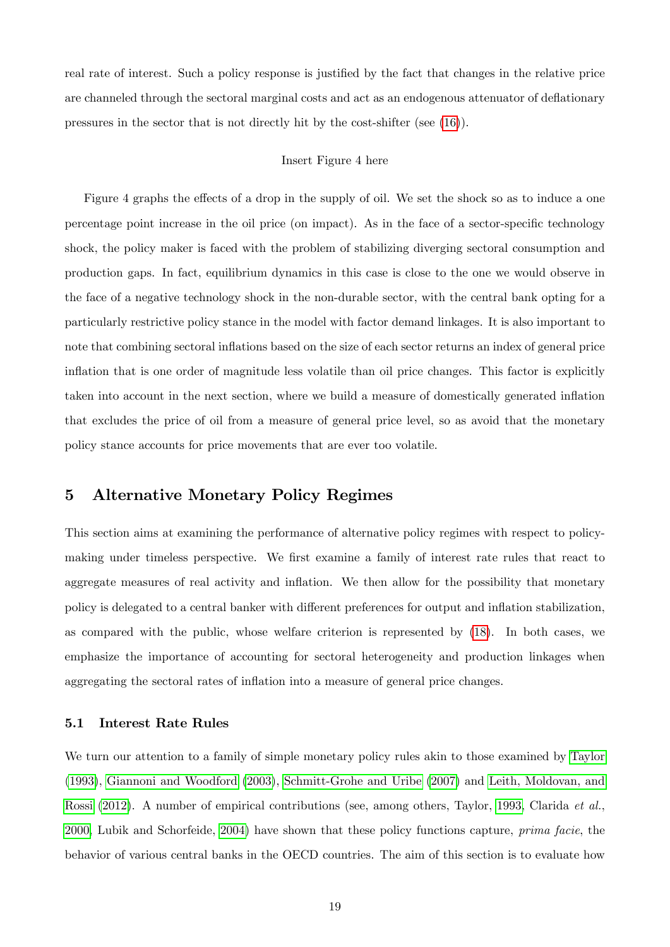real rate of interest. Such a policy response is justified by the fact that changes in the relative price are channeled through the sectoral marginal costs and act as an endogenous attenuator of deflationary pressures in the sector that is not directly hit by the cost-shifter (see [\(16\)](#page-8-0)).

#### Insert Figure 4 here

Figure 4 graphs the effects of a drop in the supply of oil. We set the shock so as to induce a one percentage point increase in the oil price (on impact). As in the face of a sector-specific technology shock, the policy maker is faced with the problem of stabilizing diverging sectoral consumption and production gaps. In fact, equilibrium dynamics in this case is close to the one we would observe in the face of a negative technology shock in the non-durable sector, with the central bank opting for a particularly restrictive policy stance in the model with factor demand linkages. It is also important to note that combining sectoral inflations based on the size of each sector returns an index of general price inflation that is one order of magnitude less volatile than oil price changes. This factor is explicitly taken into account in the next section, where we build a measure of domestically generated inflation that excludes the price of oil from a measure of general price level, so as avoid that the monetary policy stance accounts for price movements that are ever too volatile.

## 5 Alternative Monetary Policy Regimes

This section aims at examining the performance of alternative policy regimes with respect to policymaking under timeless perspective. We first examine a family of interest rate rules that react to aggregate measures of real activity and ináation. We then allow for the possibility that monetary policy is delegated to a central banker with different preferences for output and inflation stabilization, as compared with the public, whose welfare criterion is represented by [\(18\)](#page-12-1). In both cases, we emphasize the importance of accounting for sectoral heterogeneity and production linkages when aggregating the sectoral rates of ináation into a measure of general price changes.

### 5.1 Interest Rate Rules

We turn our attention to a family of simple monetary policy rules akin to those examined by [Taylor](#page-27-10) [\(1993\)](#page-27-10), [Giannoni and Woodford](#page-26-12) [\(2003\)](#page-26-12), [Schmitt-Grohe and Uribe](#page-27-7) [\(2007\)](#page-27-7) and [Leith, Moldovan, and](#page-26-13) [Rossi](#page-26-13) [\(2012\)](#page-26-13). A number of empirical contributions (see, among others, Taylor, [1993,](#page-27-10) Clarida et al., [2000,](#page-25-10) Lubik and Schorfeide, [2004\)](#page-27-11) have shown that these policy functions capture, prima facie, the behavior of various central banks in the OECD countries. The aim of this section is to evaluate how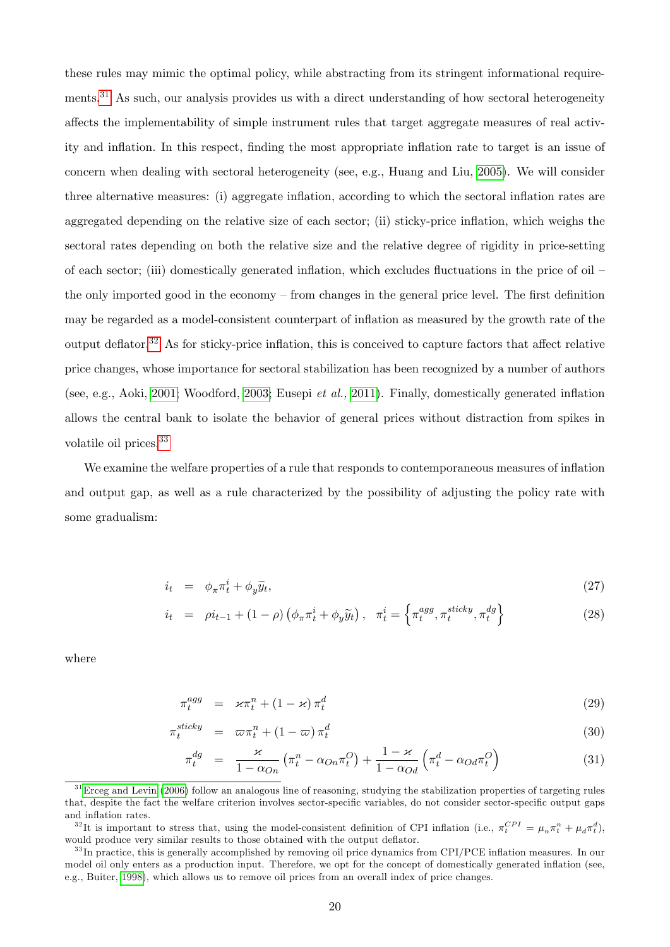these rules may mimic the optimal policy, while abstracting from its stringent informational require-ments.<sup>[31](#page-19-0)</sup> As such, our analysis provides us with a direct understanding of how sectoral heterogeneity affects the implementability of simple instrument rules that target aggregate measures of real activity and inflation. In this respect, finding the most appropriate inflation rate to target is an issue of concern when dealing with sectoral heterogeneity (see, e.g., Huang and Liu, [2005\)](#page-26-0). We will consider three alternative measures: (i) aggregate inflation, according to which the sectoral inflation rates are aggregated depending on the relative size of each sector; (ii) sticky-price ináation, which weighs the sectoral rates depending on both the relative size and the relative degree of rigidity in price-setting of each sector; (iii) domestically generated inflation, which excludes fluctuations in the price of oil  $$ the only imported good in the economy  $-$  from changes in the general price level. The first definition may be regarded as a model-consistent counterpart of ináation as measured by the growth rate of the output deflator.<sup>[32](#page-19-1)</sup> As for sticky-price inflation, this is conceived to capture factors that affect relative price changes, whose importance for sectoral stabilization has been recognized by a number of authors (see, e.g., Aoki, [2001;](#page-24-1) Woodford, [2003;](#page-28-1) Eusepi *et al.*, [2011\)](#page-26-1). Finally, domestically generated inflation allows the central bank to isolate the behavior of general prices without distraction from spikes in volatile oil prices.<sup>[33](#page-19-2)</sup>

We examine the welfare properties of a rule that responds to contemporaneous measures of inflation and output gap, as well as a rule characterized by the possibility of adjusting the policy rate with some gradualism:

$$
i_t = \phi_\pi \pi_t^i + \phi_y \widetilde{y}_t,\tag{27}
$$

$$
i_t = \rho i_{t-1} + (1 - \rho) \left( \phi_\pi \pi_t^i + \phi_y \widetilde{y}_t \right), \quad \pi_t^i = \left\{ \pi_t^{agg}, \pi_t^{sticky}, \pi_t^{dg} \right\} \tag{28}
$$

where

<span id="page-19-3"></span>
$$
\pi_t^{agg} = \varkappa \pi_t^n + (1 - \varkappa) \pi_t^d \tag{29}
$$

$$
\pi_t^{sticky} = \varpi_t^n + (1 - \varpi) \pi_t^d \tag{30}
$$

$$
\pi_t^{dg} = \frac{\varkappa}{1 - \alpha_{On}} \left( \pi_t^n - \alpha_{On} \pi_t^O \right) + \frac{1 - \varkappa}{1 - \alpha_{Od}} \left( \pi_t^d - \alpha_{Od} \pi_t^O \right)
$$
\n(31)

<span id="page-19-0"></span> $31$ [Erceg and Levin](#page-25-0) [\(2006\)](#page-25-0) follow an analogous line of reasoning, studying the stabilization properties of targeting rules that, despite the fact the welfare criterion involves sector-specific variables, do not consider sector-specific output gaps and inflation rates.

<span id="page-19-1"></span><sup>&</sup>lt;sup>32</sup>It is important to stress that, using the model-consistent definition of CPI inflation (i.e.,  $\pi_t^{CPI} = \mu_n \pi_t^n + \mu_d \pi_t^d$ ), would produce very similar results to those obtained with the output deflator.

<span id="page-19-2"></span> $33$  In practice, this is generally accomplished by removing oil price dynamics from CPI/PCE inflation measures. In our model oil only enters as a production input. Therefore, we opt for the concept of domestically generated inflation (see, e.g., Buiter, [1998\)](#page-25-11), which allows us to remove oil prices from an overall index of price changes.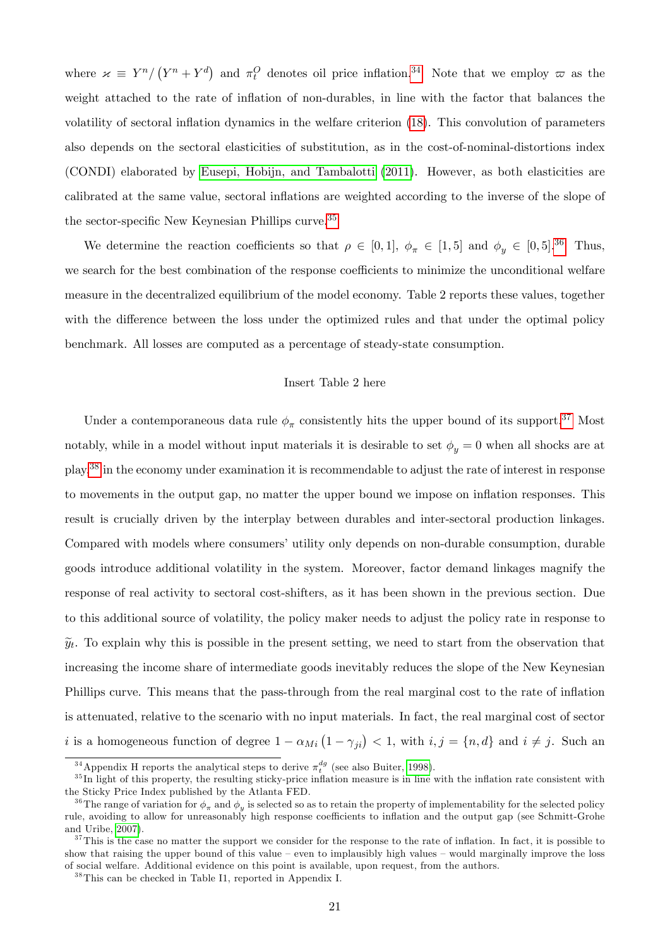where  $\kappa \equiv Y^n / (Y^n + Y^d)$  and  $\pi_t^O$  denotes oil price inflation.<sup>[34](#page-20-0)</sup> Note that we employ  $\varpi$  as the weight attached to the rate of inflation of non-durables, in line with the factor that balances the volatility of sectoral inflation dynamics in the welfare criterion [\(18\)](#page-12-1). This convolution of parameters also depends on the sectoral elasticities of substitution, as in the cost-of-nominal-distortions index (CONDI) elaborated by [Eusepi, Hobijn, and Tambalotti](#page-26-1) [\(2011\)](#page-26-1). However, as both elasticities are calibrated at the same value, sectoral inflations are weighted according to the inverse of the slope of the sector-specific New Keynesian Phillips curve.<sup>[35](#page-20-1)</sup>

We determine the reaction coefficients so that  $\rho \in [0,1]$ ,  $\phi_{\pi} \in [1,5]$  and  $\phi_y \in [0,5]$ .<sup>[36](#page-20-2)</sup> Thus, we search for the best combination of the response coefficients to minimize the unconditional welfare measure in the decentralized equilibrium of the model economy. Table 2 reports these values, together with the difference between the loss under the optimized rules and that under the optimal policy benchmark. All losses are computed as a percentage of steady-state consumption.

#### Insert Table 2 here

Under a contemporaneous data rule  $\phi_{\pi}$  consistently hits the upper bound of its support.<sup>[37](#page-20-3)</sup> Most notably, while in a model without input materials it is desirable to set  $\phi_y = 0$  when all shocks are at play,<sup>[38](#page-20-4)</sup> in the economy under examination it is recommendable to adjust the rate of interest in response to movements in the output gap, no matter the upper bound we impose on ináation responses. This result is crucially driven by the interplay between durables and inter-sectoral production linkages. Compared with models where consumers' utility only depends on non-durable consumption, durable goods introduce additional volatility in the system. Moreover, factor demand linkages magnify the response of real activity to sectoral cost-shifters, as it has been shown in the previous section. Due to this additional source of volatility, the policy maker needs to adjust the policy rate in response to  $\tilde{y}_t$ . To explain why this is possible in the present setting, we need to start from the observation that increasing the income share of intermediate goods inevitably reduces the slope of the New Keynesian Phillips curve. This means that the pass-through from the real marginal cost to the rate of inflation is attenuated, relative to the scenario with no input materials. In fact, the real marginal cost of sector i is a homogeneous function of degree  $1 - \alpha_{Mi} (1 - \gamma_{ji}) < 1$ , with  $i, j = \{n, d\}$  and  $i \neq j$ . Such an

<span id="page-20-1"></span><span id="page-20-0"></span><sup>&</sup>lt;sup>34</sup> Appendix H reports the analytical steps to derive  $\pi_t^{dg}$  (see also Buiter, [1998\)](#page-25-11).

 $35$  In light of this property, the resulting sticky-price inflation measure is in line with the inflation rate consistent with the Sticky Price Index published by the Atlanta FED.

<span id="page-20-2"></span><sup>&</sup>lt;sup>36</sup>The range of variation for  $\phi_{\pi}$  and  $\phi_y$  is selected so as to retain the property of implementability for the selected policy rule, avoiding to allow for unreasonably high response coefficients to inflation and the output gap (see Schmitt-Grohe and Uribe, [2007\)](#page-27-7).

<span id="page-20-3"></span> $37$ This is the case no matter the support we consider for the response to the rate of inflation. In fact, it is possible to show that raising the upper bound of this value – even to implausibly high values – would marginally improve the loss of social welfare. Additional evidence on this point is available, upon request, from the authors.

<span id="page-20-4"></span><sup>38</sup>This can be checked in Table I1, reported in Appendix I.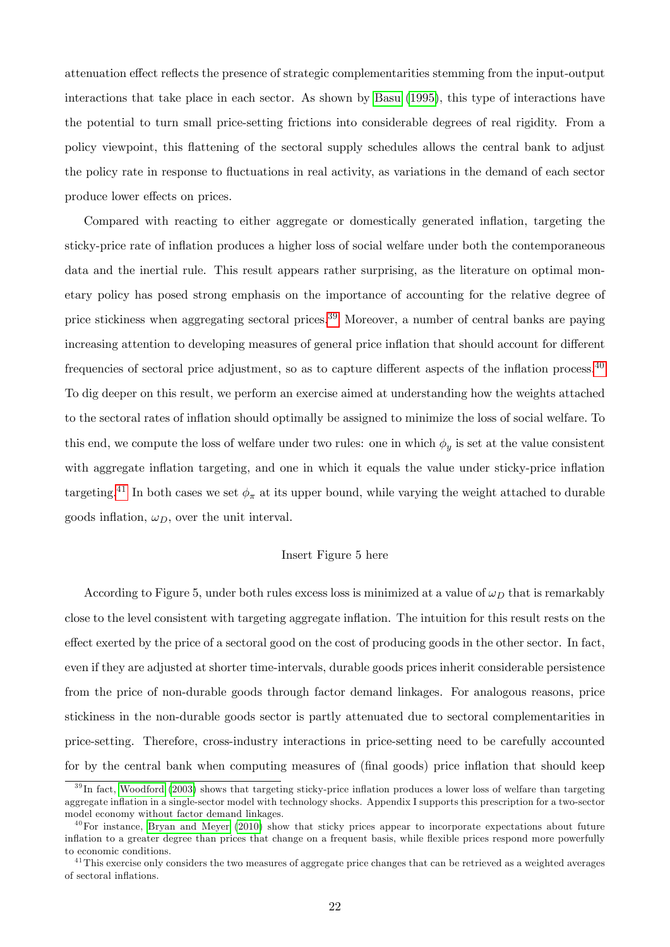attenuation effect reflects the presence of strategic complementarities stemming from the input-output interactions that take place in each sector. As shown by [Basu](#page-24-5) [\(1995\)](#page-24-5), this type of interactions have the potential to turn small price-setting frictions into considerable degrees of real rigidity. From a policy viewpoint, this áattening of the sectoral supply schedules allows the central bank to adjust the policy rate in response to fluctuations in real activity, as variations in the demand of each sector produce lower effects on prices.

Compared with reacting to either aggregate or domestically generated inflation, targeting the sticky-price rate of ináation produces a higher loss of social welfare under both the contemporaneous data and the inertial rule. This result appears rather surprising, as the literature on optimal monetary policy has posed strong emphasis on the importance of accounting for the relative degree of price stickiness when aggregating sectoral prices.<sup>[39](#page-21-0)</sup> Moreover, a number of central banks are paying increasing attention to developing measures of general price inflation that should account for different frequencies of sectoral price adjustment, so as to capture different aspects of the inflation process. $^{40}$  $^{40}$  $^{40}$ To dig deeper on this result, we perform an exercise aimed at understanding how the weights attached to the sectoral rates of ináation should optimally be assigned to minimize the loss of social welfare. To this end, we compute the loss of welfare under two rules: one in which  $\phi_y$  is set at the value consistent with aggregate inflation targeting, and one in which it equals the value under sticky-price inflation targeting.<sup>[41](#page-21-2)</sup> In both cases we set  $\phi_{\pi}$  at its upper bound, while varying the weight attached to durable goods inflation,  $\omega_D$ , over the unit interval.

#### Insert Figure 5 here

According to Figure 5, under both rules excess loss is minimized at a value of  $\omega_D$  that is remarkably close to the level consistent with targeting aggregate ináation. The intuition for this result rests on the effect exerted by the price of a sectoral good on the cost of producing goods in the other sector. In fact, even if they are adjusted at shorter time-intervals, durable goods prices inherit considerable persistence from the price of non-durable goods through factor demand linkages. For analogous reasons, price stickiness in the non-durable goods sector is partly attenuated due to sectoral complementarities in price-setting. Therefore, cross-industry interactions in price-setting need to be carefully accounted for by the central bank when computing measures of (final goods) price inflation that should keep

<span id="page-21-0"></span> $39$  In fact, [Woodford](#page-28-1) [\(2003\)](#page-28-1) shows that targeting sticky-price inflation produces a lower loss of welfare than targeting aggregate inflation in a single-sector model with technology shocks. Appendix I supports this prescription for a two-sector model economy without factor demand linkages.

<span id="page-21-1"></span> $^{40}$ For instance, [Bryan and Meyer](#page-25-12) [\(2010\)](#page-25-12) show that sticky prices appear to incorporate expectations about future inflation to a greater degree than prices that change on a frequent basis, while flexible prices respond more powerfully to economic conditions.

<span id="page-21-2"></span> $41$ This exercise only considers the two measures of aggregate price changes that can be retrieved as a weighted averages of sectoral inflations.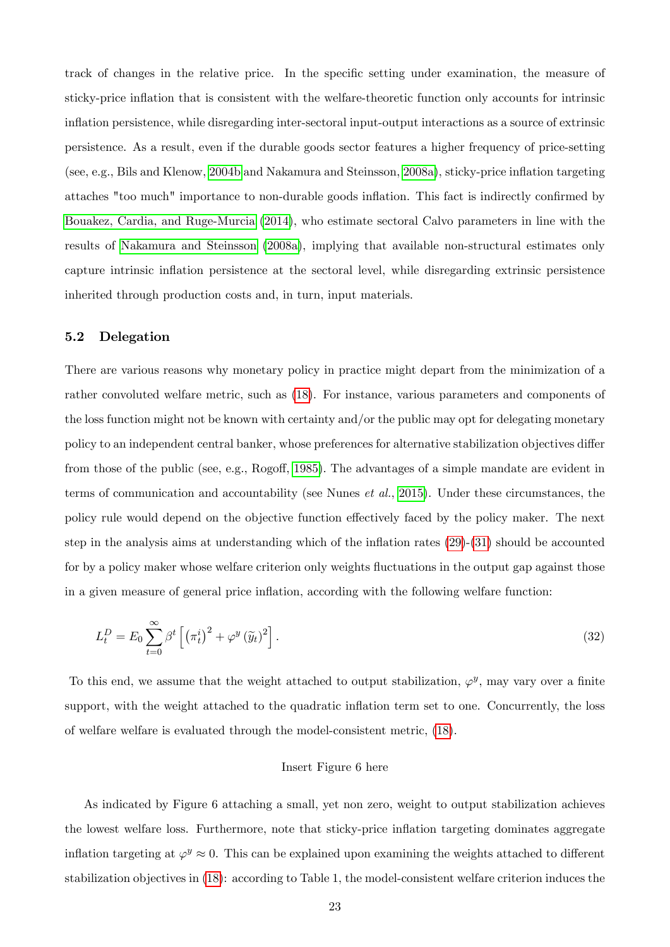track of changes in the relative price. In the specific setting under examination, the measure of sticky-price inflation that is consistent with the welfare-theoretic function only accounts for intrinsic ináation persistence, while disregarding inter-sectoral input-output interactions as a source of extrinsic persistence. As a result, even if the durable goods sector features a higher frequency of price-setting (see, e.g., Bils and Klenow, [2004b](#page-24-6) and Nakamura and Steinsson, [2008a\)](#page-27-12), sticky-price ináation targeting attaches "too much" importance to non-durable goods inflation. This fact is indirectly confirmed by [Bouakez, Cardia, and Ruge-Murcia](#page-25-1) [\(2014\)](#page-25-1), who estimate sectoral Calvo parameters in line with the results of [Nakamura and Steinsson](#page-27-12) [\(2008a\)](#page-27-12), implying that available non-structural estimates only capture intrinsic inflation persistence at the sectoral level, while disregarding extrinsic persistence inherited through production costs and, in turn, input materials.

### 5.2 Delegation

There are various reasons why monetary policy in practice might depart from the minimization of a rather convoluted welfare metric, such as [\(18\)](#page-12-1). For instance, various parameters and components of the loss function might not be known with certainty and/or the public may opt for delegating monetary policy to an independent central banker, whose preferences for alternative stabilization objectives differ from those of the public (see, e.g., Rogoff, [1985\)](#page-27-13). The advantages of a simple mandate are evident in terms of communication and accountability (see Nunes et al., [2015\)](#page-25-13). Under these circumstances, the policy rule would depend on the objective function effectively faced by the policy maker. The next step in the analysis aims at understanding which of the inflation rates  $(29)-(31)$  $(29)-(31)$  $(29)-(31)$  should be accounted for by a policy maker whose welfare criterion only weights fluctuations in the output gap against those in a given measure of general price inflation, according with the following welfare function:

$$
L_t^D = E_0 \sum_{t=0}^{\infty} \beta^t \left[ \left( \pi_t^i \right)^2 + \varphi^y \left( \widetilde{y}_t \right)^2 \right]. \tag{32}
$$

To this end, we assume that the weight attached to output stabilization,  $\varphi^y$ , may vary over a finite support, with the weight attached to the quadratic inflation term set to one. Concurrently, the loss of welfare welfare is evaluated through the model-consistent metric, [\(18\)](#page-12-1).

#### Insert Figure 6 here

As indicated by Figure 6 attaching a small, yet non zero, weight to output stabilization achieves the lowest welfare loss. Furthermore, note that sticky-price ináation targeting dominates aggregate inflation targeting at  $\varphi^y \approx 0$ . This can be explained upon examining the weights attached to different stabilization objectives in [\(18\)](#page-12-1): according to Table 1, the model-consistent welfare criterion induces the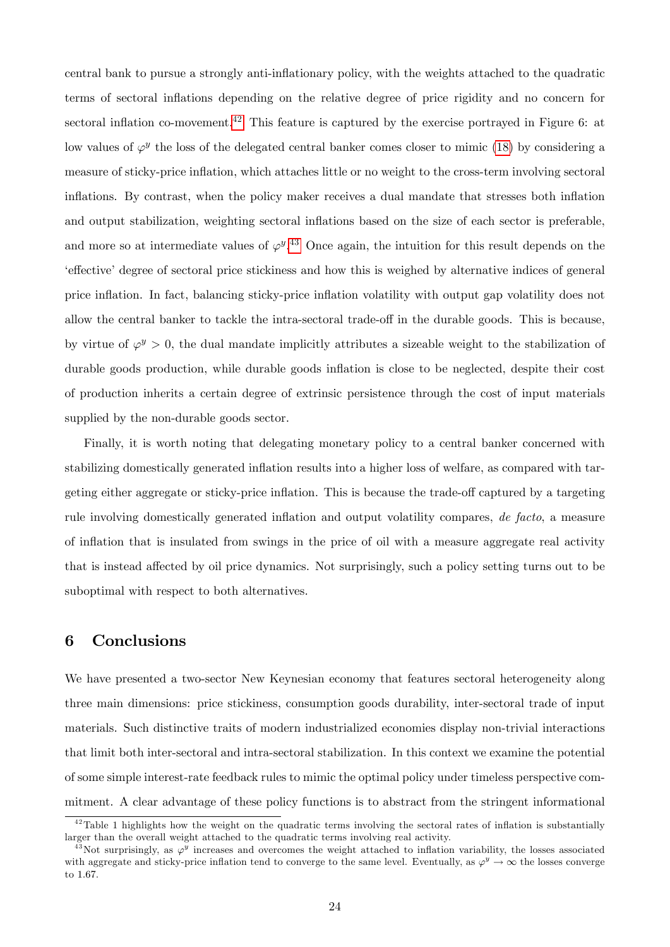central bank to pursue a strongly anti-ináationary policy, with the weights attached to the quadratic terms of sectoral inflations depending on the relative degree of price rigidity and no concern for sectoral inflation co-movement.<sup>[42](#page-23-0)</sup> This feature is captured by the exercise portrayed in Figure 6: at low values of  $\varphi^y$  the loss of the delegated central banker comes closer to mimic [\(18\)](#page-12-1) by considering a measure of sticky-price ináation, which attaches little or no weight to the cross-term involving sectoral inflations. By contrast, when the policy maker receives a dual mandate that stresses both inflation and output stabilization, weighting sectoral inflations based on the size of each sector is preferable, and more so at intermediate values of  $\varphi^{y}$ .<sup>[43](#page-23-1)</sup> Once again, the intuition for this result depends on the effective degree of sectoral price stickiness and how this is weighed by alternative indices of general price ináation. In fact, balancing sticky-price ináation volatility with output gap volatility does not allow the central banker to tackle the intra-sectoral trade-off in the durable goods. This is because, by virtue of  $\varphi^y > 0$ , the dual mandate implicitly attributes a sizeable weight to the stabilization of durable goods production, while durable goods inflation is close to be neglected, despite their cost of production inherits a certain degree of extrinsic persistence through the cost of input materials supplied by the non-durable goods sector.

Finally, it is worth noting that delegating monetary policy to a central banker concerned with stabilizing domestically generated inflation results into a higher loss of welfare, as compared with targeting either aggregate or sticky-price inflation. This is because the trade-off captured by a targeting rule involving domestically generated inflation and output volatility compares, de facto, a measure of ináation that is insulated from swings in the price of oil with a measure aggregate real activity that is instead affected by oil price dynamics. Not surprisingly, such a policy setting turns out to be suboptimal with respect to both alternatives.

## 6 Conclusions

We have presented a two-sector New Keynesian economy that features sectoral heterogeneity along three main dimensions: price stickiness, consumption goods durability, inter-sectoral trade of input materials. Such distinctive traits of modern industrialized economies display non-trivial interactions that limit both inter-sectoral and intra-sectoral stabilization. In this context we examine the potential of some simple interest-rate feedback rules to mimic the optimal policy under timeless perspective commitment. A clear advantage of these policy functions is to abstract from the stringent informational

<span id="page-23-0"></span> $42$ Table 1 highlights how the weight on the quadratic terms involving the sectoral rates of inflation is substantially larger than the overall weight attached to the quadratic terms involving real activity.

<span id="page-23-1"></span><sup>&</sup>lt;sup>43</sup>Not surprisingly, as  $\varphi^y$  increases and overcomes the weight attached to inflation variability, the losses associated with aggregate and sticky-price inflation tend to converge to the same level. Eventually, as  $\varphi^y \to \infty$  the losses converge to 1:67.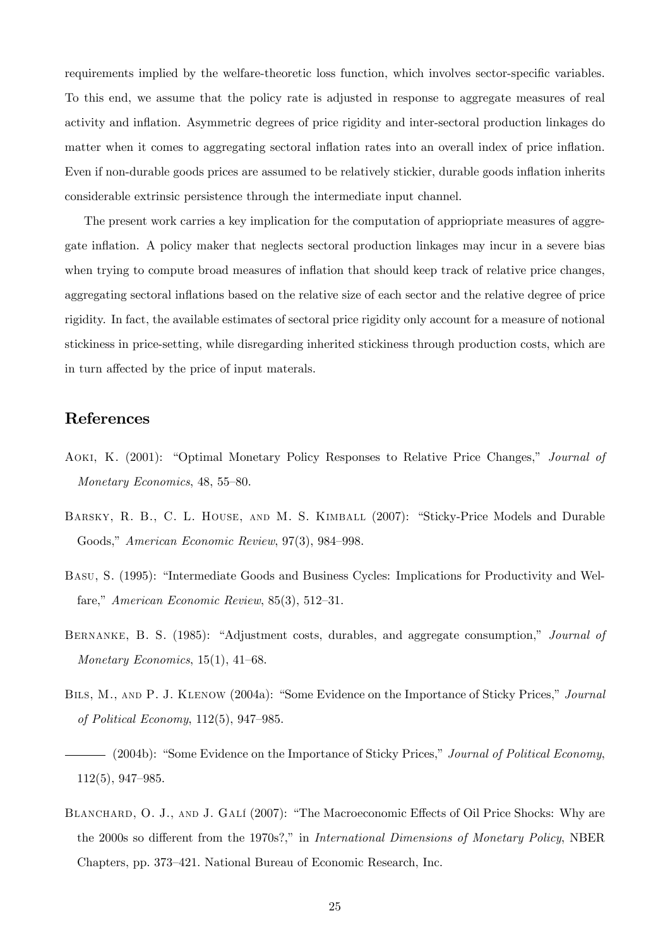requirements implied by the welfare-theoretic loss function, which involves sector-specific variables. To this end, we assume that the policy rate is adjusted in response to aggregate measures of real activity and ináation. Asymmetric degrees of price rigidity and inter-sectoral production linkages do matter when it comes to aggregating sectoral inflation rates into an overall index of price inflation. Even if non-durable goods prices are assumed to be relatively stickier, durable goods inflation inherits considerable extrinsic persistence through the intermediate input channel.

The present work carries a key implication for the computation of appriopriate measures of aggregate inflation. A policy maker that neglects sectoral production linkages may incur in a severe bias when trying to compute broad measures of inflation that should keep track of relative price changes, aggregating sectoral inflations based on the relative size of each sector and the relative degree of price rigidity. In fact, the available estimates of sectoral price rigidity only account for a measure of notional stickiness in price-setting, while disregarding inherited stickiness through production costs, which are in turn affected by the price of input materals.

## References

- <span id="page-24-1"></span>AOKI, K. (2001): "Optimal Monetary Policy Responses to Relative Price Changes," Journal of Monetary Economics,  $48, 55-80$ .
- <span id="page-24-0"></span>BARSKY, R. B., C. L. HOUSE, AND M. S. KIMBALL (2007): "Sticky-Price Models and Durable Goods," American Economic Review, 97(3), 984–998.
- <span id="page-24-5"></span>BASU, S. (1995): "Intermediate Goods and Business Cycles: Implications for Productivity and Welfare," American Economic Review,  $85(3)$ ,  $512-31$ .
- <span id="page-24-2"></span>BERNANKE, B. S. (1985): "Adjustment costs, durables, and aggregate consumption," *Journal of* Monetary Economics,  $15(1)$ ,  $41-68$ .
- <span id="page-24-4"></span>BILS, M., AND P. J. KLENOW (2004a): "Some Evidence on the Importance of Sticky Prices," Journal of Political Economy,  $112(5)$ ,  $947-985$ .
- <span id="page-24-6"></span>(2004b): "Some Evidence on the Importance of Sticky Prices," Journal of Political Economy,  $112(5)$ , 947–985.
- <span id="page-24-3"></span>BLANCHARD, O. J., AND J. GALÍ (2007): "The Macroeconomic Effects of Oil Price Shocks: Why are the 2000s so different from the 1970s?," in International Dimensions of Monetary Policy, NBER Chapters, pp. 373–421. National Bureau of Economic Research, Inc.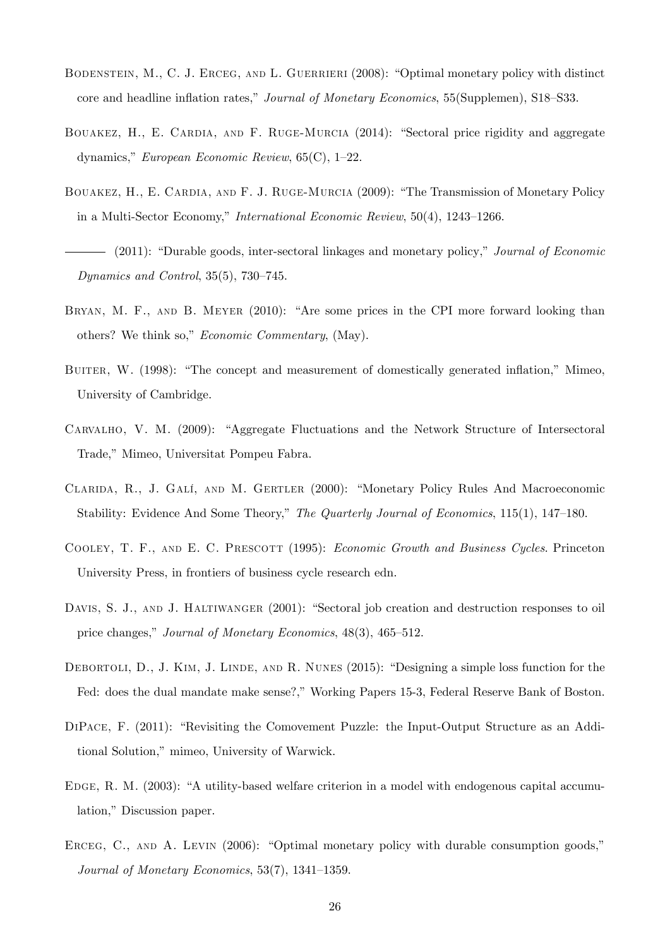- <span id="page-25-8"></span>BODENSTEIN, M., C. J. ERCEG, AND L. GUERRIERI (2008): "Optimal monetary policy with distinct core and headline inflation rates," Journal of Monetary Economics, 55(Supplemen), S18–S33.
- <span id="page-25-1"></span>BOUAKEZ, H., E. CARDIA, AND F. RUGE-MURCIA (2014): "Sectoral price rigidity and aggregate dynamics," European Economic Review,  $65(C)$ , 1–22.
- <span id="page-25-2"></span>BOUAKEZ, H., E. CARDIA, AND F. J. RUGE-MURCIA (2009): "The Transmission of Monetary Policy in a Multi-Sector Economy," International Economic Review,  $50(4)$ ,  $1243-1266$ .
- <span id="page-25-3"></span>- (2011): "Durable goods, inter-sectoral linkages and monetary policy," Journal of Economic Dynamics and Control,  $35(5)$ ,  $730-745$ .
- <span id="page-25-12"></span>BRYAN, M. F., AND B. MEYER  $(2010)$ : "Are some prices in the CPI more forward looking than others? We think so," Economic Commentary, (May).
- <span id="page-25-11"></span>BUITER, W. (1998): "The concept and measurement of domestically generated inflation," Mimeo, University of Cambridge.
- <span id="page-25-5"></span>CARVALHO, V. M. (2009): "Aggregate Fluctuations and the Network Structure of Intersectoral Trade," Mimeo, Universitat Pompeu Fabra.
- <span id="page-25-10"></span>CLARIDA, R., J. GALÍ, AND M. GERTLER (2000): "Monetary Policy Rules And Macroeconomic Stability: Evidence And Some Theory," The Quarterly Journal of Economics, 115(1), 147–180.
- <span id="page-25-9"></span>COOLEY, T. F., AND E. C. PRESCOTT (1995): *Economic Growth and Business Cycles*. Princeton University Press, in frontiers of business cycle research edn.
- <span id="page-25-6"></span>DAVIS, S. J., AND J. HALTIWANGER (2001): "Sectoral job creation and destruction responses to oil price changes," Journal of Monetary Economics, 48(3), 465–512.
- <span id="page-25-13"></span>DEBORTOLI, D., J. KIM, J. LINDE, AND R. NUNES  $(2015)$ : "Designing a simple loss function for the Fed: does the dual mandate make sense?," Working Papers 15-3, Federal Reserve Bank of Boston.
- <span id="page-25-4"></span> $DIPACE, F. (2011):$  "Revisiting the Comovement Puzzle: the Input-Output Structure as an Additional Solution," mimeo, University of Warwick.
- <span id="page-25-7"></span>EDGE, R. M. (2003): "A utility-based welfare criterion in a model with endogenous capital accumulation," Discussion paper.
- <span id="page-25-0"></span>ERCEG, C., AND A. LEVIN  $(2006)$ : "Optimal monetary policy with durable consumption goods," Journal of Monetary Economics,  $53(7)$ ,  $1341-1359$ .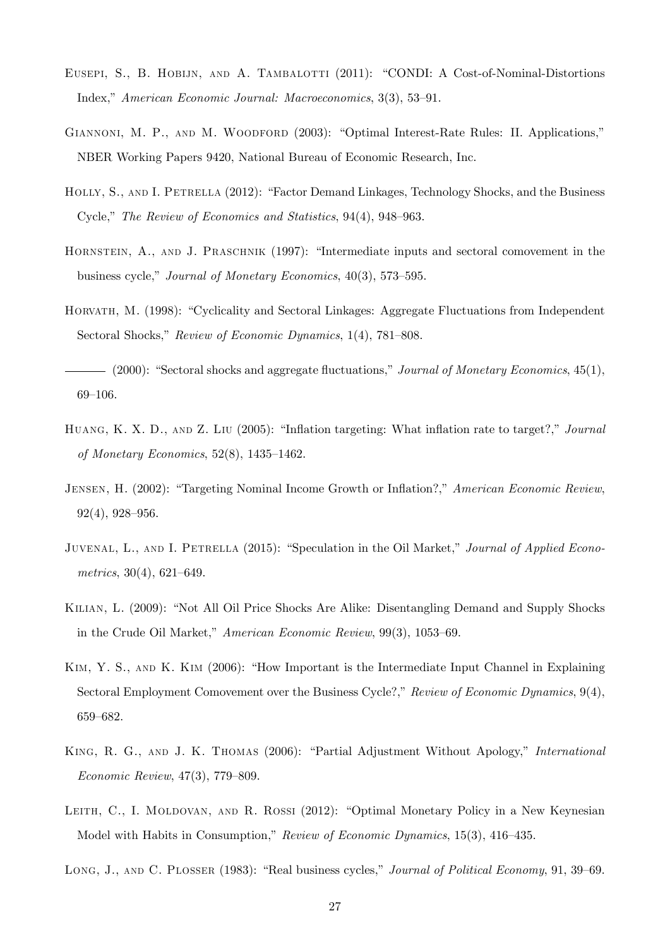- <span id="page-26-1"></span>EUSEPI, S., B. HOBIJN, AND A. TAMBALOTTI (2011): "CONDI: A Cost-of-Nominal-Distortions Index," American Economic Journal: Macroeconomics, 3(3), 53-91.
- <span id="page-26-12"></span>GIANNONI, M. P., AND M. WOODFORD (2003): "Optimal Interest-Rate Rules: II. Applications," NBER Working Papers 9420, National Bureau of Economic Research, Inc.
- <span id="page-26-2"></span>HOLLY, S., AND I. PETRELLA (2012): "Factor Demand Linkages, Technology Shocks, and the Business Cycle," The Review of Economics and Statistics,  $94(4)$ ,  $948-963$ .
- <span id="page-26-7"></span>HORNSTEIN, A., AND J. PRASCHNIK (1997): "Intermediate inputs and sectoral comovement in the business cycle," Journal of Monetary Economics,  $40(3)$ , 573–595.
- <span id="page-26-3"></span>HORVATH, M. (1998): "Cyclicality and Sectoral Linkages: Aggregate Fluctuations from Independent Sectoral Shocks," Review of Economic Dynamics, 1(4), 781–808.
- <span id="page-26-4"></span> $-$  (2000): "Sectoral shocks and aggregate fluctuations," Journal of Monetary Economics, 45(1),  $69-106.$
- <span id="page-26-0"></span>HUANG, K. X. D., AND Z. LIU (2005): "Inflation targeting: What inflation rate to target?," Journal of Monetary Economics,  $52(8)$ ,  $1435-1462$ .
- <span id="page-26-10"></span>JENSEN, H. (2002): "Targeting Nominal Income Growth or Inflation?," American Economic Review,  $92(4)$ ,  $928-956$ .
- <span id="page-26-11"></span>JUVENAL, L., AND I. PETRELLA (2015): "Speculation in the Oil Market," Journal of Applied Econometrics,  $30(4)$ ,  $621-649$ .
- <span id="page-26-9"></span>KILIAN, L. (2009): "Not All Oil Price Shocks Are Alike: Disentangling Demand and Supply Shocks in the Crude Oil Market," American Economic Review, 99(3), 1053-69.
- <span id="page-26-6"></span>KIM, Y. S., AND K. KIM (2006): "How Important is the Intermediate Input Channel in Explaining Sectoral Employment Comovement over the Business Cycle?," Review of Economic Dynamics,  $9(4)$ , 659-682.
- <span id="page-26-8"></span>KING, R. G., AND J. K. THOMAS (2006): "Partial Adjustment Without Apology," International  $Economic Review, 47(3), 779-809.$
- <span id="page-26-13"></span>LEITH, C., I. MOLDOVAN, AND R. ROSSI (2012): "Optimal Monetary Policy in a New Keynesian Model with Habits in Consumption," Review of Economic Dynamics, 15(3), 416–435.
- <span id="page-26-5"></span>LONG, J., AND C. PLOSSER (1983): "Real business cycles," Journal of Political Economy, 91, 39–69.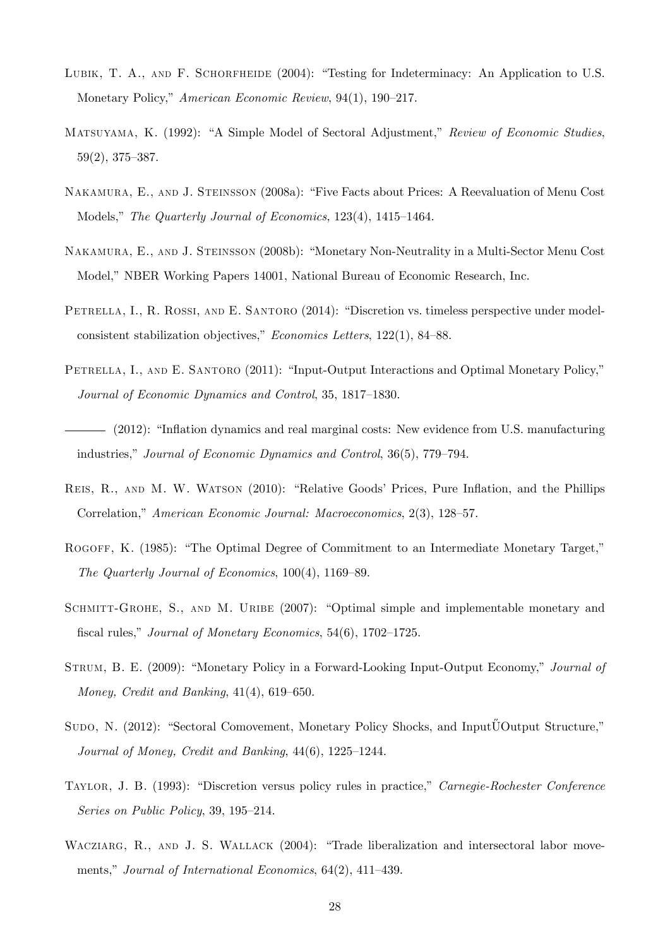- <span id="page-27-11"></span>LUBIK, T. A., AND F. SCHORFHEIDE  $(2004)$ : "Testing for Indeterminacy: An Application to U.S. Monetary Policy," American Economic Review, 94(1), 190–217.
- <span id="page-27-5"></span>MATSUYAMA, K. (1992): "A Simple Model of Sectoral Adjustment," Review of Economic Studies,  $59(2)$ ,  $375-387$ .
- <span id="page-27-12"></span>NAKAMURA, E., AND J. STEINSSON (2008a): "Five Facts about Prices: A Reevaluation of Menu Cost Models," The Quarterly Journal of Economics, 123(4), 1415–1464.
- <span id="page-27-8"></span>NAKAMURA, E., AND J. STEINSSON (2008b): "Monetary Non-Neutrality in a Multi-Sector Menu Cost Model," NBER Working Papers 14001, National Bureau of Economic Research, Inc.
- <span id="page-27-3"></span>PETRELLA, I., R. ROSSI, AND E. SANTORO (2014): "Discretion vs. timeless perspective under modelconsistent stabilization objectives," Economics Letters,  $122(1)$ , 84–88.
- <span id="page-27-0"></span>PETRELLA, I., AND E. SANTORO (2011): "Input-Output Interactions and Optimal Monetary Policy," Journal of Economic Dynamics and Control, 35, 1817–1830.
- <span id="page-27-2"></span> $-$  (2012): "Inflation dynamics and real marginal costs: New evidence from U.S. manufacturing industries," Journal of Economic Dynamics and Control,  $36(5)$ ,  $779-794$ .
- <span id="page-27-1"></span>REIS, R., AND M. W. WATSON (2010): "Relative Goods' Prices, Pure Inflation, and the Phillips Correlation," American Economic Journal: Macroeconomics, 2(3), 128–57.
- <span id="page-27-13"></span>ROGOFF, K. (1985): "The Optimal Degree of Commitment to an Intermediate Monetary Target," The Quarterly Journal of Economics,  $100(4)$ ,  $1169-89$ .
- <span id="page-27-7"></span>SCHMITT-GROHE, S., AND M. URIBE (2007): "Optimal simple and implementable monetary and fiscal rules," Journal of Monetary Economics,  $54(6)$ , 1702–1725.
- <span id="page-27-9"></span>STRUM, B. E. (2009): "Monetary Policy in a Forward-Looking Input-Output Economy," Journal of Money, Credit and Banking,  $41(4)$ , 619–650.
- <span id="page-27-4"></span>SUDO, N. (2012): "Sectoral Comovement, Monetary Policy Shocks, and Input UOutput Structure," Journal of Money, Credit and Banking,  $44(6)$ ,  $1225-1244$ .
- <span id="page-27-10"></span>TAYLOR, J. B. (1993): "Discretion versus policy rules in practice," Carnegie-Rochester Conference Series on Public Policy, 39,  $195-214$ .
- <span id="page-27-6"></span>WACZIARG, R., AND J. S. WALLACK (2004): "Trade liberalization and intersectoral labor movements," Journal of International Economics,  $64(2)$ ,  $411-439$ .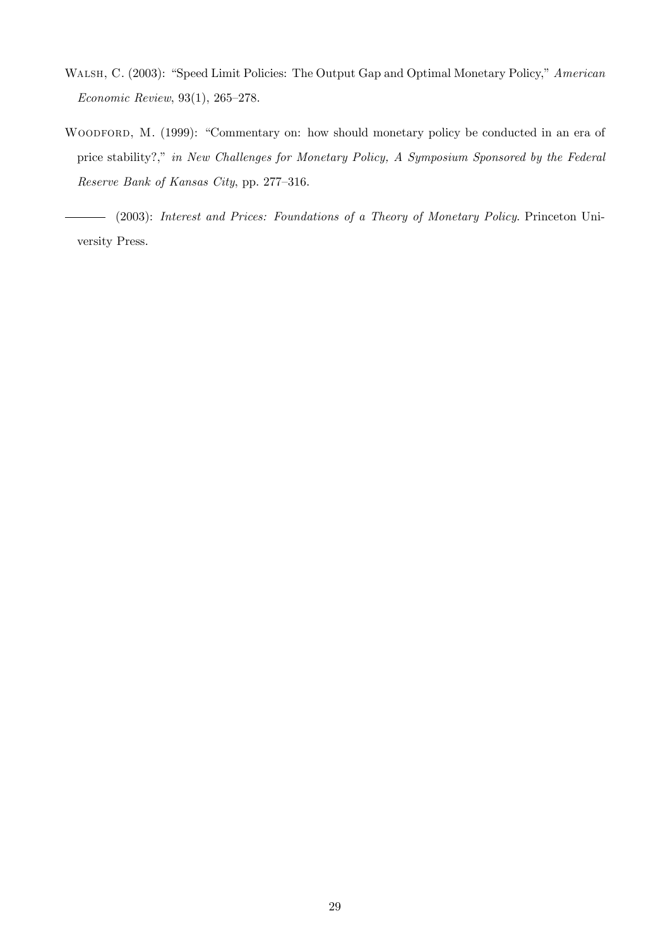- <span id="page-28-2"></span>WALSH, C. (2003): "Speed Limit Policies: The Output Gap and Optimal Monetary Policy," American  $Economic Review, 93(1), 265-278.$
- <span id="page-28-0"></span>WOODFORD, M. (1999): "Commentary on: how should monetary policy be conducted in an era of price stability?," in New Challenges for Monetary Policy, A Symposium Sponsored by the Federal Reserve Bank of Kansas City, pp. 277-316.

<span id="page-28-1"></span>(2003): Interest and Prices: Foundations of a Theory of Monetary Policy. Princeton Uni- $\overline{\phantom{0}}$ versity Press.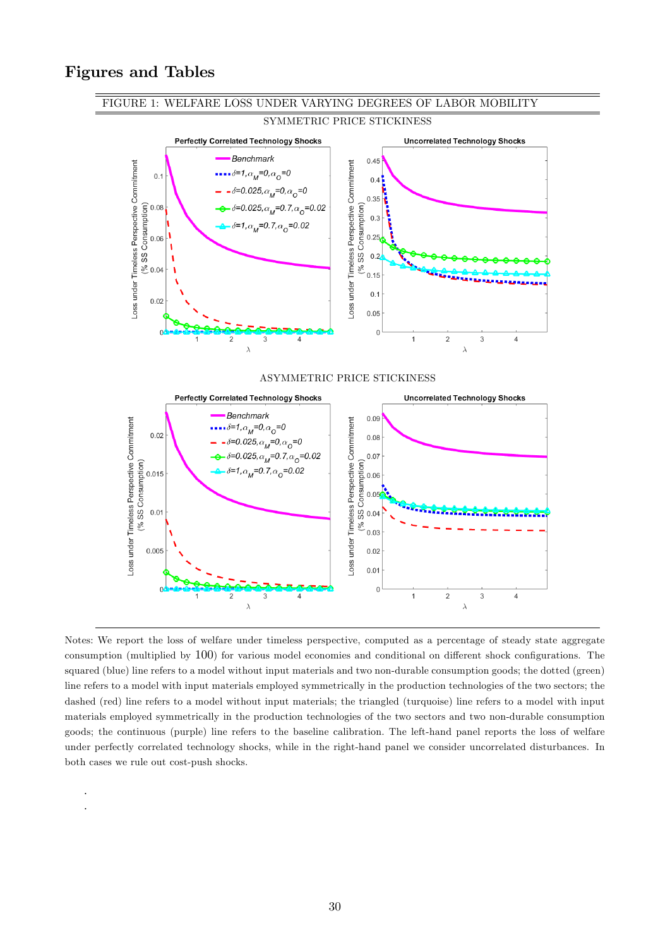# Figures and Tables

. .



Notes: We report the loss of welfare under timeless perspective, computed as a percentage of steady state aggregate consumption (multiplied by  $100$ ) for various model economies and conditional on different shock configurations. The squared (blue) line refers to a model without input materials and two non-durable consumption goods; the dotted (green) line refers to a model with input materials employed symmetrically in the production technologies of the two sectors; the dashed (red) line refers to a model without input materials; the triangled (turquoise) line refers to a model with input materials employed symmetrically in the production technologies of the two sectors and two non-durable consumption goods; the continuous (purple) line refers to the baseline calibration. The left-hand panel reports the loss of welfare under perfectly correlated technology shocks, while in the right-hand panel we consider uncorrelated disturbances. In both cases we rule out cost-push shocks.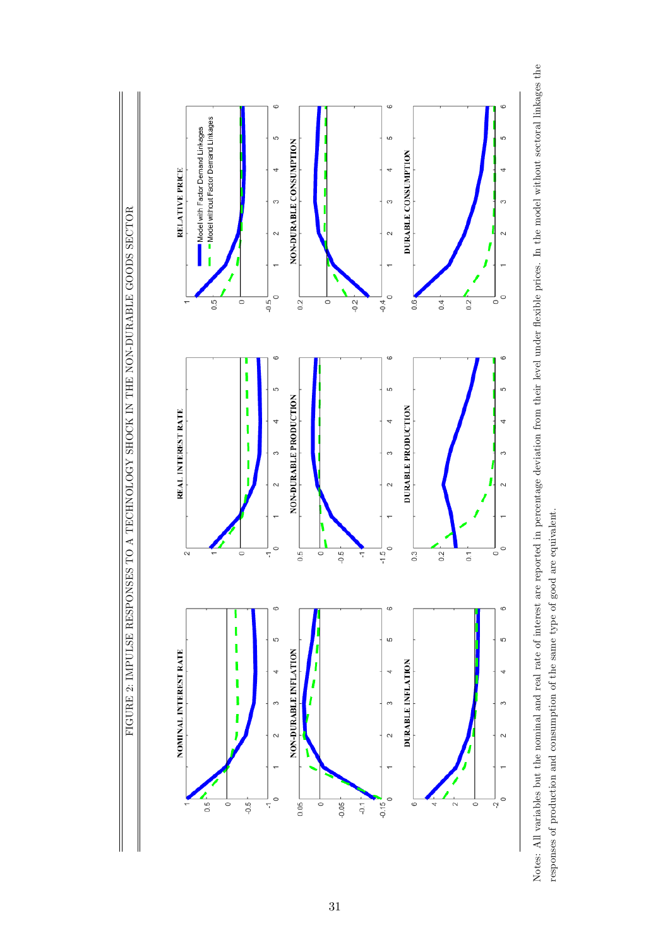

Notes: All variables but the nominal and real rate of interest are reported in percentage deviation from their level under flexible prices. In the model without sectoral linkages the Notes: All variables but the nominal and real rate of interest are reported in percentage deviation from their level under áexible prices. In the model without sectoral linkages the responses of production and consumption of the same type of good are equivalent. responses of production and consumption of the same type of good are equivalent.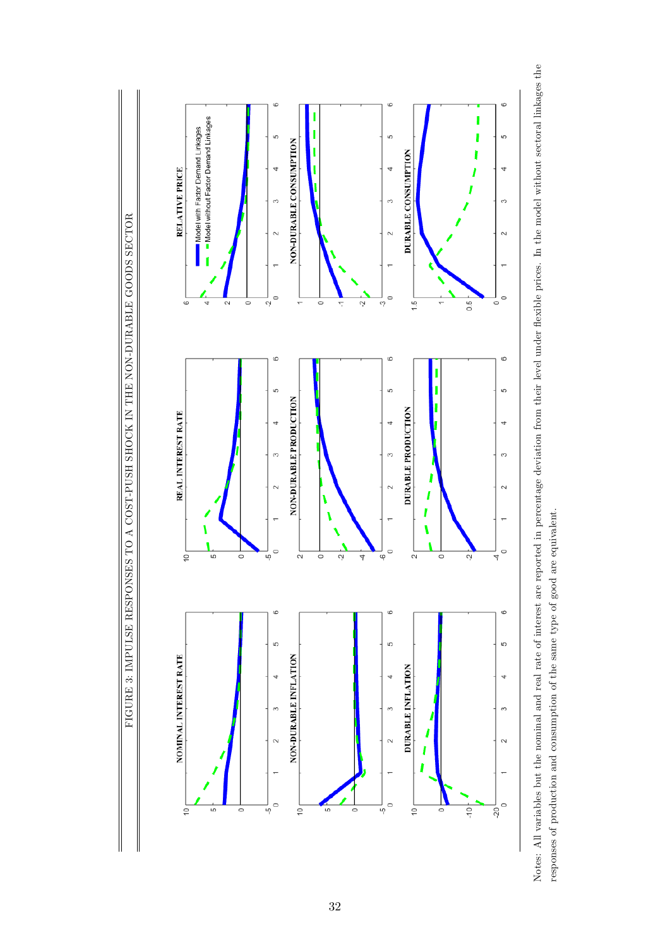

Notes: All variables but the nominal and real rate of interest are reported in percentage deviation from their level under flexible prices. In the model without sectoral linkages the Notes: All variables but the nominal and real rate of interest are reported in percentage deviation from their level under áexible prices. In the model without sectoral linkages the responses of production and consumption of the same type of good are equivalent. responses of production and consumption of the same type of good are equivalent.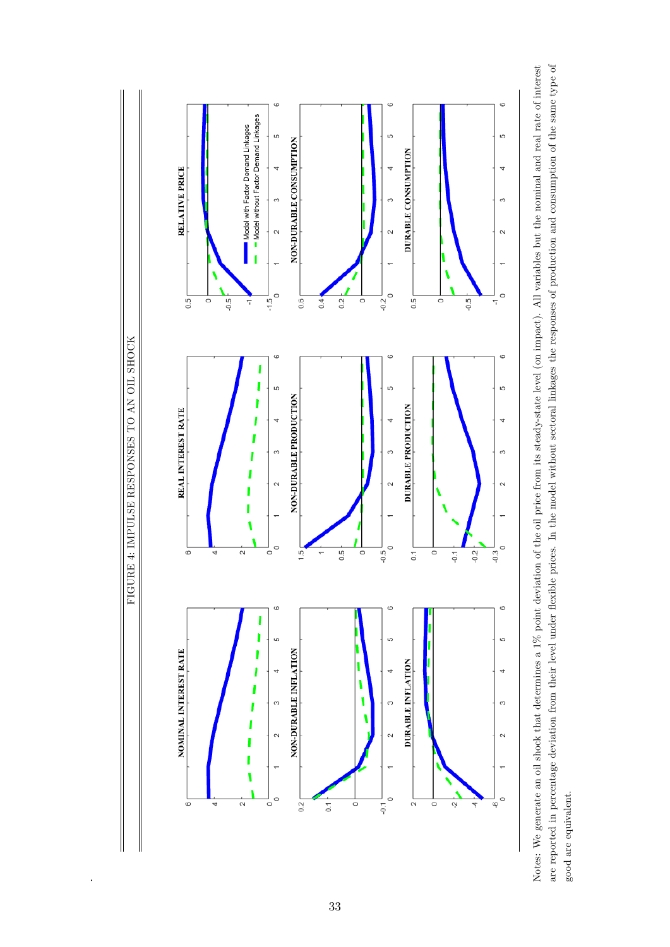

are reported in percentage deviation from their level under flexible prices. In the model without sectoral linkages the responses of production and consumption of the same type of Notes: We generate an oil shock that determines a 1% point deviation of the oil price from its steady-state level (on impact). All variables but the nominal and real rate of interest are reported in percentage deviation from their level under áexible prices. In the model without sectoral linkages the responses of production and consumption of the same type of Notes: We generate an oil shock that determines a 1% point deviation of the oil price from its steady-state level (on impact). All variables but the nominal and real rate of interest good are equivalent. good are equivalent.

.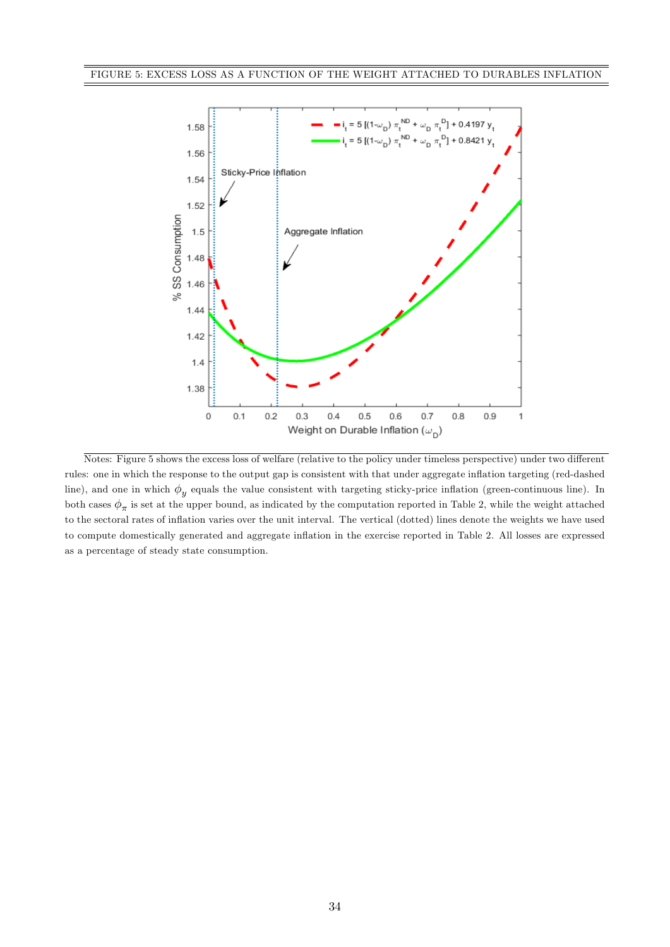

Notes: Figure 5 shows the excess loss of welfare (relative to the policy under timeless perspective) under two different rules: one in which the response to the output gap is consistent with that under aggregate inflation targeting (red-dashed line), and one in which  $\phi_y$  equals the value consistent with targeting sticky-price inflation (green-continuous line). In both cases  $\phi_{\pi}$  is set at the upper bound, as indicated by the computation reported in Table 2, while the weight attached to the sectoral rates of ináation varies over the unit interval. The vertical (dotted) lines denote the weights we have used to compute domestically generated and aggregate inflation in the exercise reported in Table 2. All losses are expressed as a percentage of steady state consumption.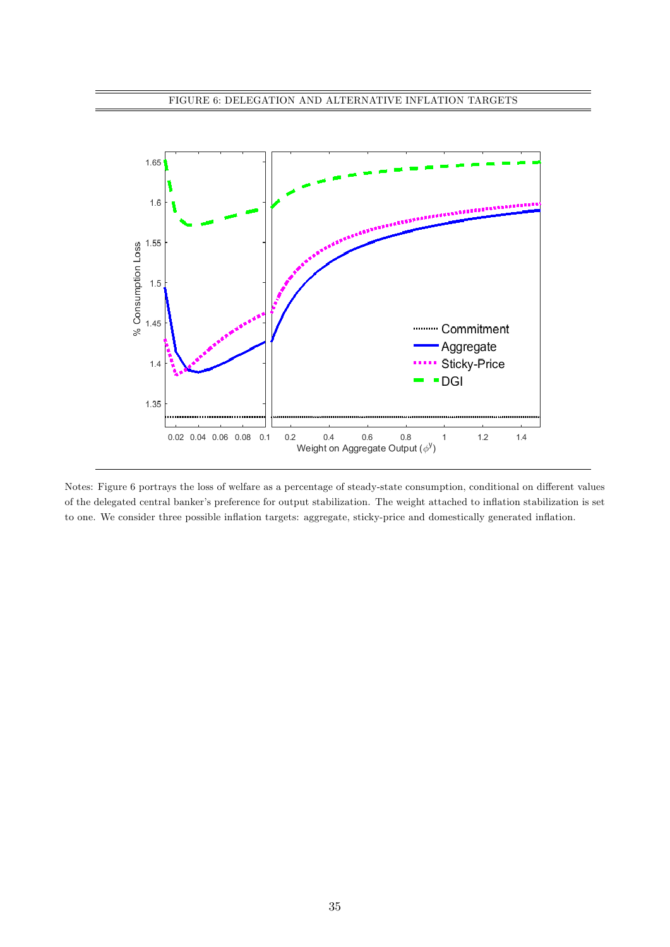

Notes: Figure 6 portrays the loss of welfare as a percentage of steady-state consumption, conditional on different values of the delegated central banker's preference for output stabilization. The weight attached to inflation stabilization is set to one. We consider three possible inflation targets: aggregate, sticky-price and domestically generated inflation.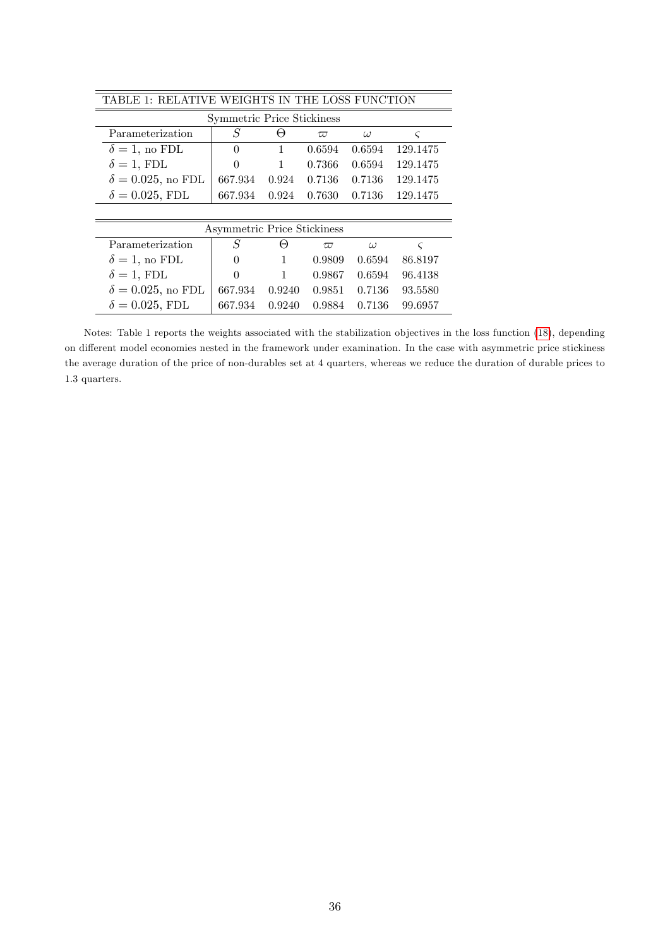| TABLE 1: RELATIVE WEIGHTS IN THE LOSS FUNCTION |           |              |          |          |             |  |  |  |
|------------------------------------------------|-----------|--------------|----------|----------|-------------|--|--|--|
| Symmetric Price Stickiness                     |           |              |          |          |             |  |  |  |
| Parameterization                               | $\, S \,$ | $_{(\neg)}$  | $\varpi$ | $\omega$ | $\varsigma$ |  |  |  |
| $\delta = 1$ , no FDL                          | $\theta$  | 1            | 0.6594   | 0.6594   | 129.1475    |  |  |  |
| $\delta = 1$ , FDL                             | $\Omega$  | $\mathbf{1}$ | 0.7366   | 0.6594   | 129.1475    |  |  |  |
| $\delta = 0.025$ , no FDL                      | 667.934   | 0.924        | 0.7136   | 0.7136   | 129.1475    |  |  |  |
| $\delta = 0.025$ , FDL                         | 667.934   | 0.924        | 0.7630   | 0.7136   | 129.1475    |  |  |  |
|                                                |           |              |          |          |             |  |  |  |
| Asymmetric Price Stickiness                    |           |              |          |          |             |  |  |  |
| Parameterization                               | S         | Θ            | $\varpi$ | $\omega$ | $\varsigma$ |  |  |  |
| $\delta = 1$ , no FDL                          | 0         | 1            | 0.9809   | 0.6594   | 86.8197     |  |  |  |
| $\delta = 1$ , FDL                             | $\Omega$  | 1            | 0.9867   | 0.6594   | 96.4138     |  |  |  |
| $\delta = 0.025$ , no FDL                      | 667.934   | 0.9240       | 0.9851   | 0.7136   | 93.5580     |  |  |  |
| $\delta = 0.025$ , FDL                         | 667.934   | 0.9240       | 0.9884   | 0.7136   | 99.6957     |  |  |  |

Notes: Table 1 reports the weights associated with the stabilization objectives in the loss function [\(18\)](#page-12-1), depending on different model economies nested in the framework under examination. In the case with asymmetric price stickiness the average duration of the price of non-durables set at 4 quarters, whereas we reduce the duration of durable prices to 1.3 quarters.